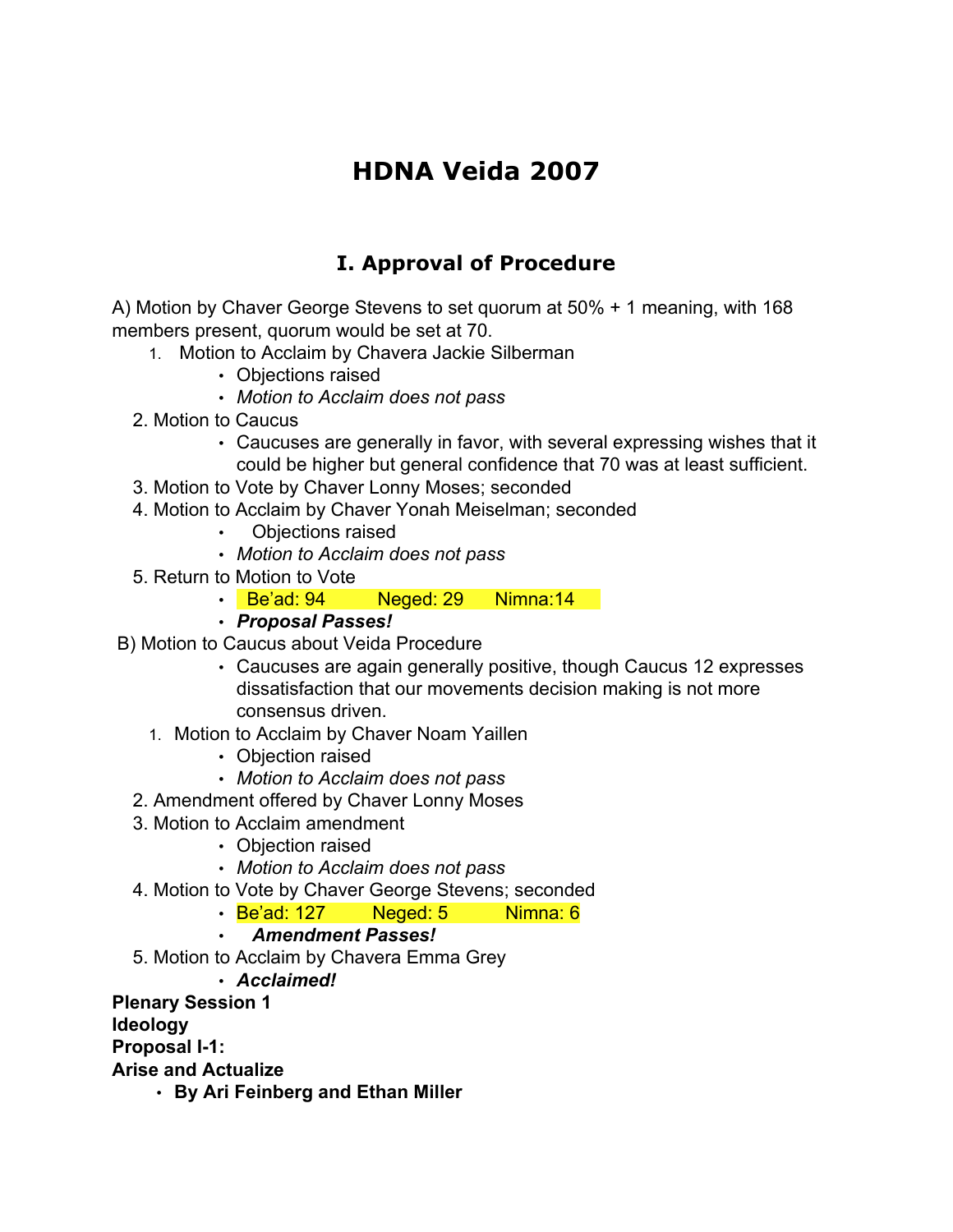# **HDNA Veida 2007**

# **I. Approval of Procedure**

A) Motion by Chaver George Stevens to set quorum at 50% + 1 meaning, with 168 members present, quorum would be set at 70.

- 1. Motion to Acclaim by Chavera Jackie Silberman
	- Objections raised
	- *Motion to Acclaim does not pass*
- 2. Motion to Caucus
	- Caucuses are generally in favor, with several expressing wishes that it could be higher but general confidence that 70 was at least sufficient.
- 3. Motion to Vote by Chaver Lonny Moses; seconded
- 4. Motion to Acclaim by Chaver Yonah Meiselman; seconded
	- Objections raised
	- *Motion to Acclaim does not pass*
- 5. Return to Motion to Vote
	- Be'ad: 94 Neged: 29 Nimna:14
	- *Proposal Passes!*
- B) Motion to Caucus about Veida Procedure
	- Caucuses are again generally positive, though Caucus 12 expresses dissatisfaction that our movements decision making is not more consensus driven.
	- 1. Motion to Acclaim by Chaver Noam Yaillen
		- Objection raised
		- *Motion to Acclaim does not pass*
	- 2. Amendment offered by Chaver Lonny Moses
	- 3. Motion to Acclaim amendment
		- Objection raised
		- *Motion to Acclaim does not pass*
	- 4. Motion to Vote by Chaver George Stevens; seconded
		- Be'ad: 127 Meged: 5 Nimna: 6
		- *Amendment Passes!*
	- 5. Motion to Acclaim by Chavera Emma Grey

• *Acclaimed!*

**Plenary Session 1**

**Ideology**

**Proposal I-1:**

**Arise and Actualize**

• **By Ari Feinberg and Ethan Miller**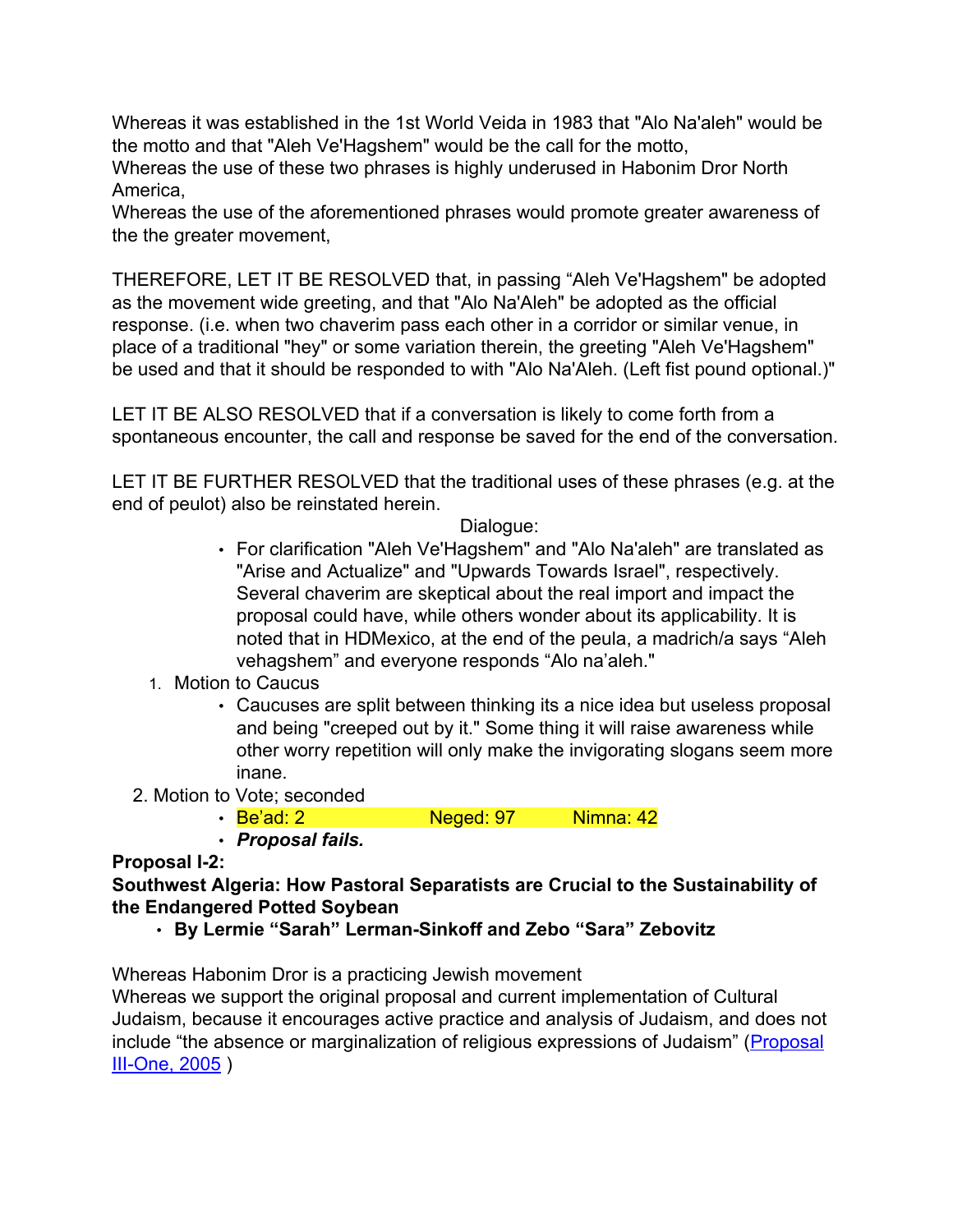Whereas it was established in the 1st World Veida in 1983 that "Alo Na'aleh" would be the motto and that "Aleh Ve'Hagshem" would be the call for the motto,

Whereas the use of these two phrases is highly underused in Habonim Dror North America,

Whereas the use of the aforementioned phrases would promote greater awareness of the the greater movement,

THEREFORE, LET IT BE RESOLVED that, in passing "Aleh Ve'Hagshem" be adopted as the movement wide greeting, and that "Alo Na'Aleh" be adopted as the official response. (i.e. when two chaverim pass each other in a corridor or similar venue, in place of a traditional "hey" or some variation therein, the greeting "Aleh Ve'Hagshem" be used and that it should be responded to with "Alo Na'Aleh. (Left fist pound optional.)"

LET IT BE ALSO RESOLVED that if a conversation is likely to come forth from a spontaneous encounter, the call and response be saved for the end of the conversation.

LET IT BE FURTHER RESOLVED that the traditional uses of these phrases (e.g. at the end of peulot) also be reinstated herein.

Dialogue:

- For clarification "Aleh Ve'Hagshem" and "Alo Na'aleh" are translated as "Arise and Actualize" and "Upwards Towards Israel", respectively. Several chaverim are skeptical about the real import and impact the proposal could have, while others wonder about its applicability. It is noted that in HDMexico, at the end of the peula, a madrich/a says "Aleh vehagshem" and everyone responds "Alo na'aleh."
- 1. Motion to Caucus
	- Caucuses are split between thinking its a nice idea but useless proposal and being "creeped out by it." Some thing it will raise awareness while other worry repetition will only make the invigorating slogans seem more inane.
- 2. Motion to Vote; seconded

• Be'ad: 2 Neged: 97 Nimna: 42

• *Proposal fails.*

### **Proposal I-2:**

### **Southwest Algeria: How Pastoral Separatists are Crucial to the Sustainability of the Endangered Potted Soybean**

• **By Lermie "Sarah" Lerman-Sinkoff and Zebo "Sara" Zebovitz**

Whereas Habonim Dror is a practicing Jewish movement Whereas we support the original proposal and current implementation of Cultural Judaism, because it encourages active practice and analysis of Judaism, and does not include "the absence or marginalization of religious expressions of Judaism" ([Proposal](http://www.habonimdror.org/about/veida/Veida%20XIV%202005.pdf)

[III-One, 2005](http://www.habonimdror.org/about/veida/Veida%20XIV%202005.pdf) )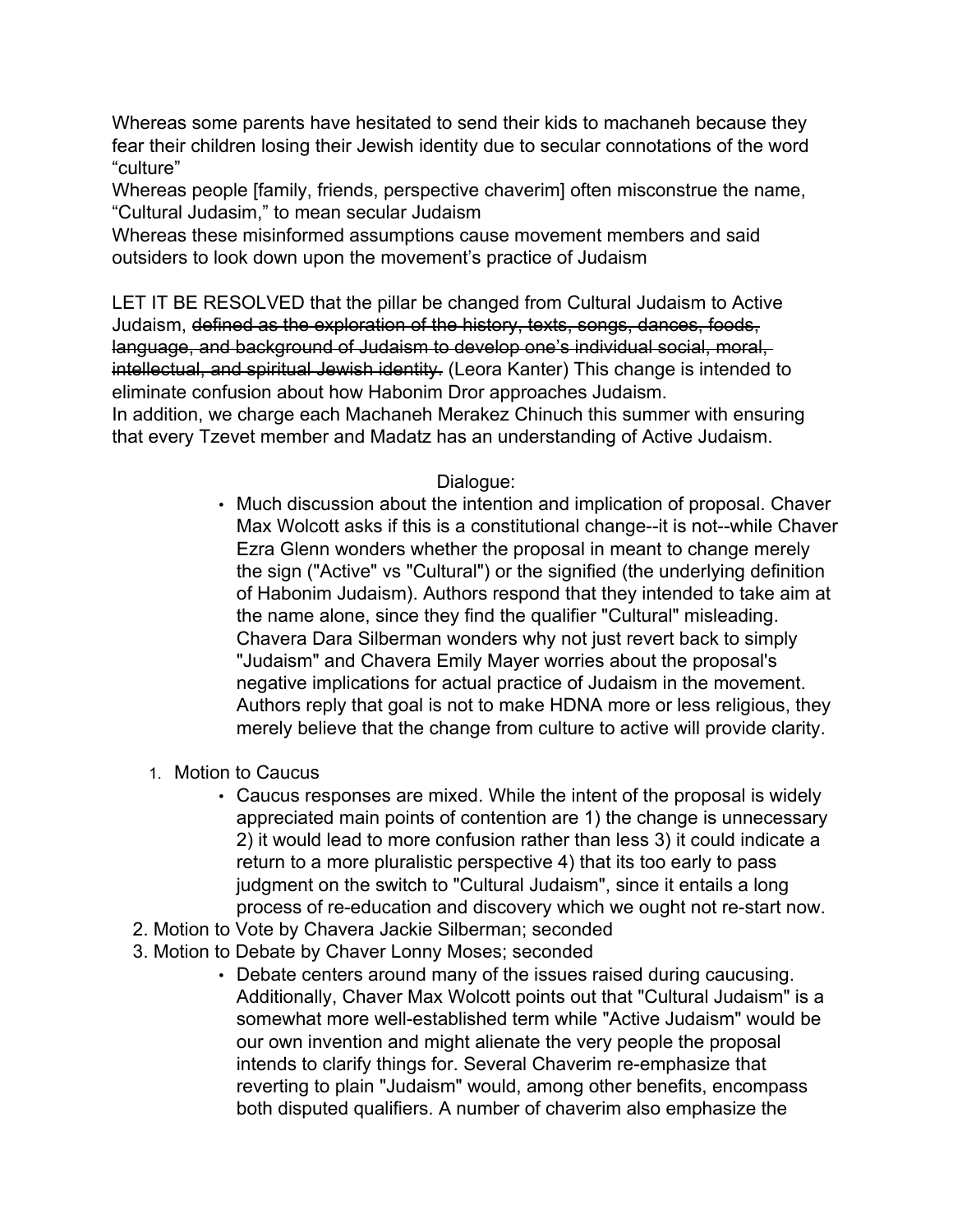Whereas some parents have hesitated to send their kids to machaneh because they fear their children losing their Jewish identity due to secular connotations of the word "culture"

Whereas people [family, friends, perspective chaverim] often misconstrue the name, "Cultural Judasim," to mean secular Judaism

Whereas these misinformed assumptions cause movement members and said outsiders to look down upon the movement's practice of Judaism

LET IT BE RESOLVED that the pillar be changed from Cultural Judaism to Active Judaism, defined as the exploration of the history, texts, songs, dances, foods, language, and background of Judaism to develop one's individual social, moral, intellectual, and spiritual Jewish identity. (Leora Kanter) This change is intended to eliminate confusion about how Habonim Dror approaches Judaism.

In addition, we charge each Machaneh Merakez Chinuch this summer with ensuring that every Tzevet member and Madatz has an understanding of Active Judaism.

# Dialogue:

- Much discussion about the intention and implication of proposal. Chaver Max Wolcott asks if this is a constitutional change--it is not--while Chaver Ezra Glenn wonders whether the proposal in meant to change merely the sign ("Active" vs "Cultural") or the signified (the underlying definition of Habonim Judaism). Authors respond that they intended to take aim at the name alone, since they find the qualifier "Cultural" misleading. Chavera Dara Silberman wonders why not just revert back to simply "Judaism" and Chavera Emily Mayer worries about the proposal's negative implications for actual practice of Judaism in the movement. Authors reply that goal is not to make HDNA more or less religious, they merely believe that the change from culture to active will provide clarity.
- 1. Motion to Caucus
	- Caucus responses are mixed. While the intent of the proposal is widely appreciated main points of contention are 1) the change is unnecessary 2) it would lead to more confusion rather than less 3) it could indicate a return to a more pluralistic perspective 4) that its too early to pass judgment on the switch to "Cultural Judaism", since it entails a long process of re-education and discovery which we ought not re-start now.
- 2. Motion to Vote by Chavera Jackie Silberman; seconded
- 3. Motion to Debate by Chaver Lonny Moses; seconded
	- Debate centers around many of the issues raised during caucusing. Additionally, Chaver Max Wolcott points out that "Cultural Judaism" is a somewhat more well-established term while "Active Judaism" would be our own invention and might alienate the very people the proposal intends to clarify things for. Several Chaverim re-emphasize that reverting to plain "Judaism" would, among other benefits, encompass both disputed qualifiers. A number of chaverim also emphasize the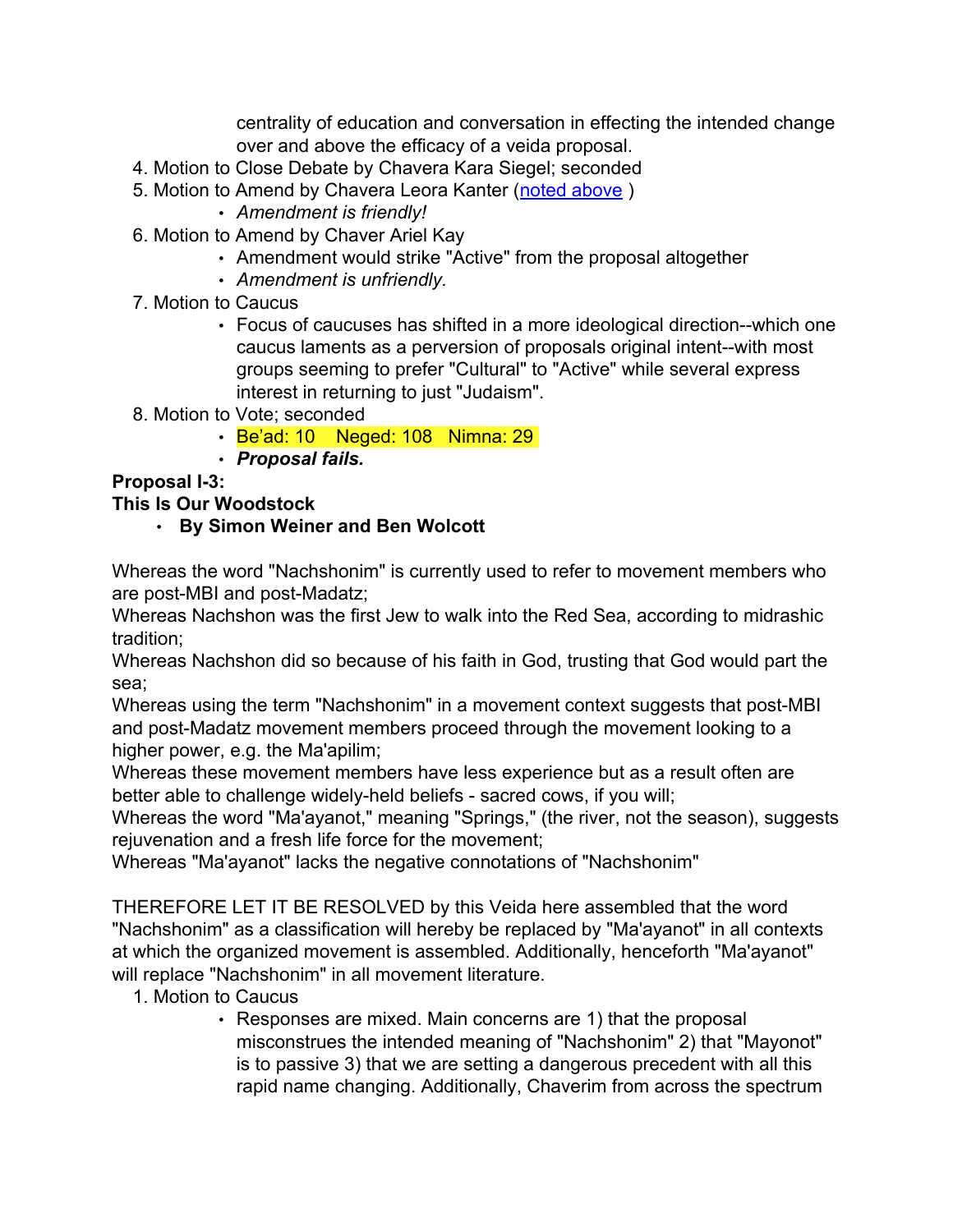centrality of education and conversation in effecting the intended change over and above the efficacy of a veida proposal.

- 4. Motion to Close Debate by Chavera Kara Siegel; seconded
- 5. Motion to Amend by Chavera Leora Kanter (noted above )
	- *Amendment is friendly!*
- 6. Motion to Amend by Chaver Ariel Kay
	- Amendment would strike "Active" from the proposal altogether
	- *Amendment is unfriendly.*
- 7. Motion to Caucus
	- Focus of caucuses has shifted in a more ideological direction--which one caucus laments as a perversion of proposals original intent--with most groups seeming to prefer "Cultural" to "Active" while several express interest in returning to just "Judaism".
- 8. Motion to Vote; seconded
	- Be'ad: 10 Neged: 108 Nimna: 29
	- *Proposal fails.*

# **Proposal I-3:**

# **This Is Our Woodstock**

• **By Simon Weiner and Ben Wolcott**

Whereas the word "Nachshonim" is currently used to refer to movement members who are post-MBI and post-Madatz;

Whereas Nachshon was the first Jew to walk into the Red Sea, according to midrashic tradition;

Whereas Nachshon did so because of his faith in God, trusting that God would part the sea;

Whereas using the term "Nachshonim" in a movement context suggests that post-MBI and post-Madatz movement members proceed through the movement looking to a higher power, e.g. the Ma'apilim;

Whereas these movement members have less experience but as a result often are better able to challenge widely-held beliefs - sacred cows, if you will;

Whereas the word "Ma'ayanot," meaning "Springs," (the river, not the season), suggests rejuvenation and a fresh life force for the movement;

Whereas "Ma'ayanot" lacks the negative connotations of "Nachshonim"

THEREFORE LET IT BE RESOLVED by this Veida here assembled that the word "Nachshonim" as a classification will hereby be replaced by "Ma'ayanot" in all contexts at which the organized movement is assembled. Additionally, henceforth "Ma'ayanot" will replace "Nachshonim" in all movement literature.

- 1. Motion to Caucus
	- Responses are mixed. Main concerns are 1) that the proposal misconstrues the intended meaning of "Nachshonim" 2) that "Mayonot" is to passive 3) that we are setting a dangerous precedent with all this rapid name changing. Additionally, Chaverim from across the spectrum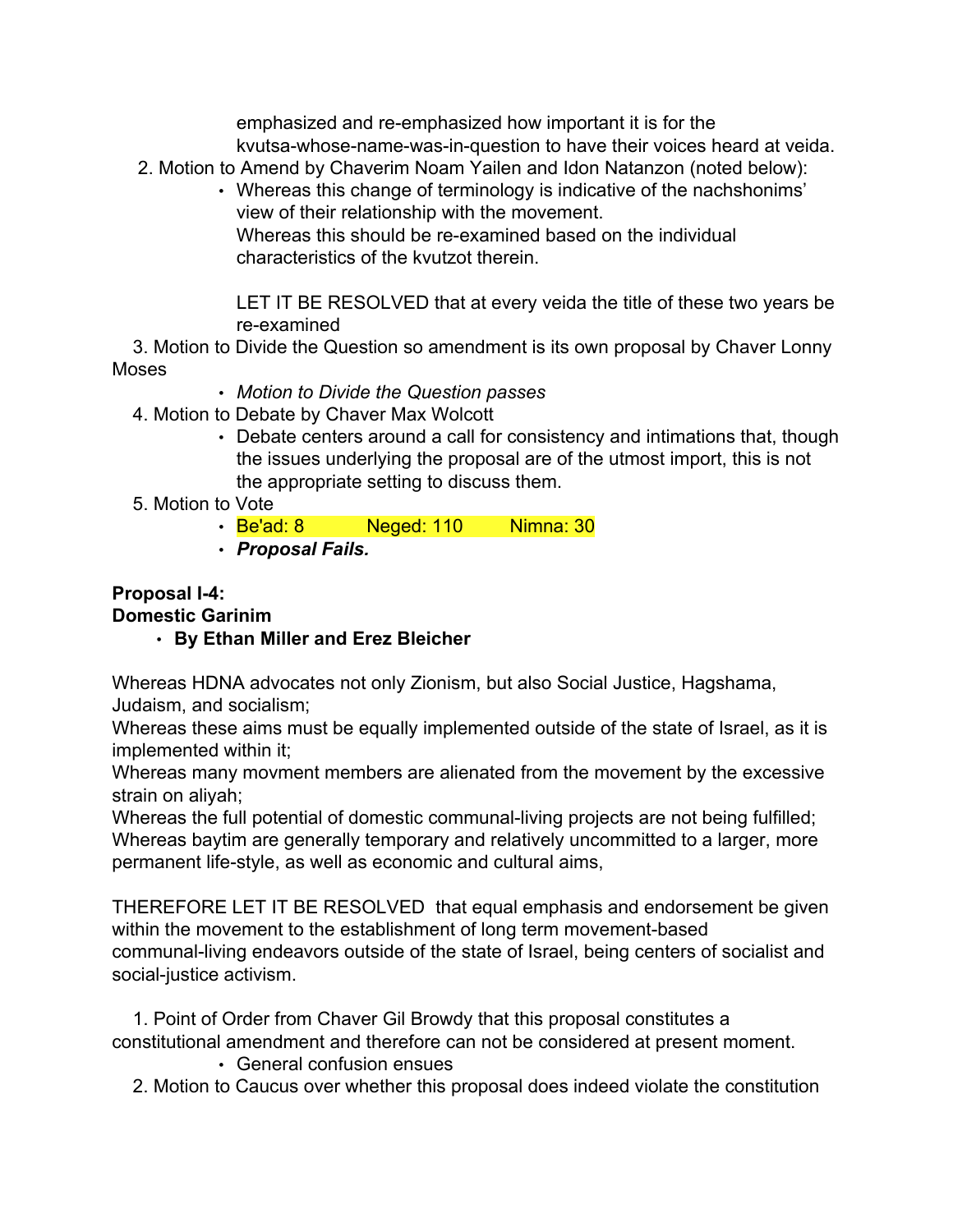emphasized and re-emphasized how important it is for the kvutsa-whose-name-was-in-question to have their voices heard at veida.

- 2. Motion to Amend by Chaverim Noam Yailen and Idon Natanzon (noted below):
	- Whereas this change of terminology is indicative of the nachshonims' view of their relationship with the movement. Whereas this should be re-examined based on the individual characteristics of the kvutzot therein.

LET IT BE RESOLVED that at every veida the title of these two years be re-examined

3. Motion to Divide the Question so amendment is its own proposal by Chaver Lonny Moses

- *Motion to Divide the Question passes*
- 4. Motion to Debate by Chaver Max Wolcott
	- Debate centers around a call for consistency and intimations that, though the issues underlying the proposal are of the utmost import, this is not the appropriate setting to discuss them.
- 5. Motion to Vote
	- **Be'ad: 8** Neged: 110 Nimna: 30
	- *Proposal Fails.*

#### **Proposal I-4: Domestic Garinim**

# • **By Ethan Miller and Erez Bleicher**

Whereas HDNA advocates not only Zionism, but also Social Justice, Hagshama, Judaism, and socialism;

Whereas these aims must be equally implemented outside of the state of Israel, as it is implemented within it;

Whereas many movment members are alienated from the movement by the excessive strain on aliyah;

Whereas the full potential of domestic communal-living projects are not being fulfilled; Whereas baytim are generally temporary and relatively uncommitted to a larger, more permanent life-style, as well as economic and cultural aims,

THEREFORE LET IT BE RESOLVED that equal emphasis and endorsement be given within the movement to the establishment of long term movement-based communal-living endeavors outside of the state of Israel, being centers of socialist and social-justice activism.

1. Point of Order from Chaver Gil Browdy that this proposal constitutes a constitutional amendment and therefore can not be considered at present moment.

• General confusion ensues

2. Motion to Caucus over whether this proposal does indeed violate the constitution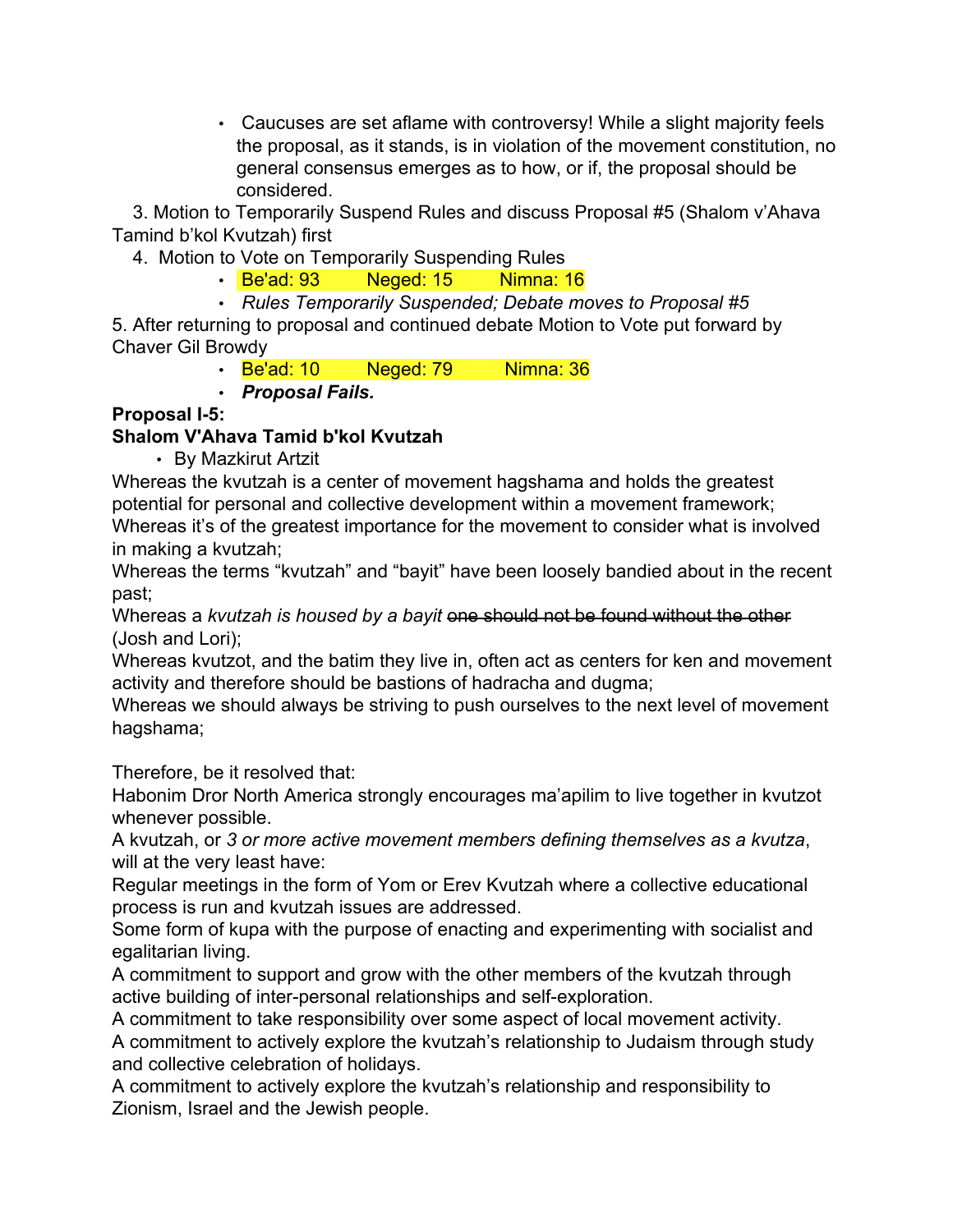• Caucuses are set aflame with controversy! While a slight majority feels the proposal, as it stands, is in violation of the movement constitution, no general consensus emerges as to how, or if, the proposal should be considered.

3. Motion to Temporarily Suspend Rules and discuss Proposal #5 (Shalom v'Ahava Tamind b'kol Kvutzah) first

- 4. Motion to Vote on Temporarily Suspending Rules
	- Be'ad: 93 Neged: 15 Nimna: 16
	- *Rules Temporarily Suspended; Debate moves to Proposal #5*

5. After returning to proposal and continued debate Motion to Vote put forward by Chaver Gil Browdy

- Be'ad: 10 Neged: 79 Nimna: 36
- *Proposal Fails.*

# **Proposal I-5:**

# **Shalom V'Ahava Tamid b'kol Kvutzah**

• By Mazkirut Artzit

Whereas the kvutzah is a center of movement hagshama and holds the greatest potential for personal and collective development within a movement framework; Whereas it's of the greatest importance for the movement to consider what is involved in making a kvutzah;

Whereas the terms "kvutzah" and "bayit" have been loosely bandied about in the recent past;

Whereas a *kvutzah is housed by a bayit* one should not be found without the other (Josh and Lori);

Whereas kvutzot, and the batim they live in, often act as centers for ken and movement activity and therefore should be bastions of hadracha and dugma;

Whereas we should always be striving to push ourselves to the next level of movement hagshama;

Therefore, be it resolved that:

Habonim Dror North America strongly encourages ma'apilim to live together in kvutzot whenever possible.

A kvutzah, or *3 or more active movement members defining themselves as a kvutza*, will at the very least have:

Regular meetings in the form of Yom or Erev Kvutzah where a collective educational process is run and kvutzah issues are addressed.

Some form of kupa with the purpose of enacting and experimenting with socialist and egalitarian living.

A commitment to support and grow with the other members of the kvutzah through active building of inter-personal relationships and self-exploration.

A commitment to take responsibility over some aspect of local movement activity. A commitment to actively explore the kvutzah's relationship to Judaism through study

and collective celebration of holidays.

A commitment to actively explore the kvutzah's relationship and responsibility to Zionism, Israel and the Jewish people.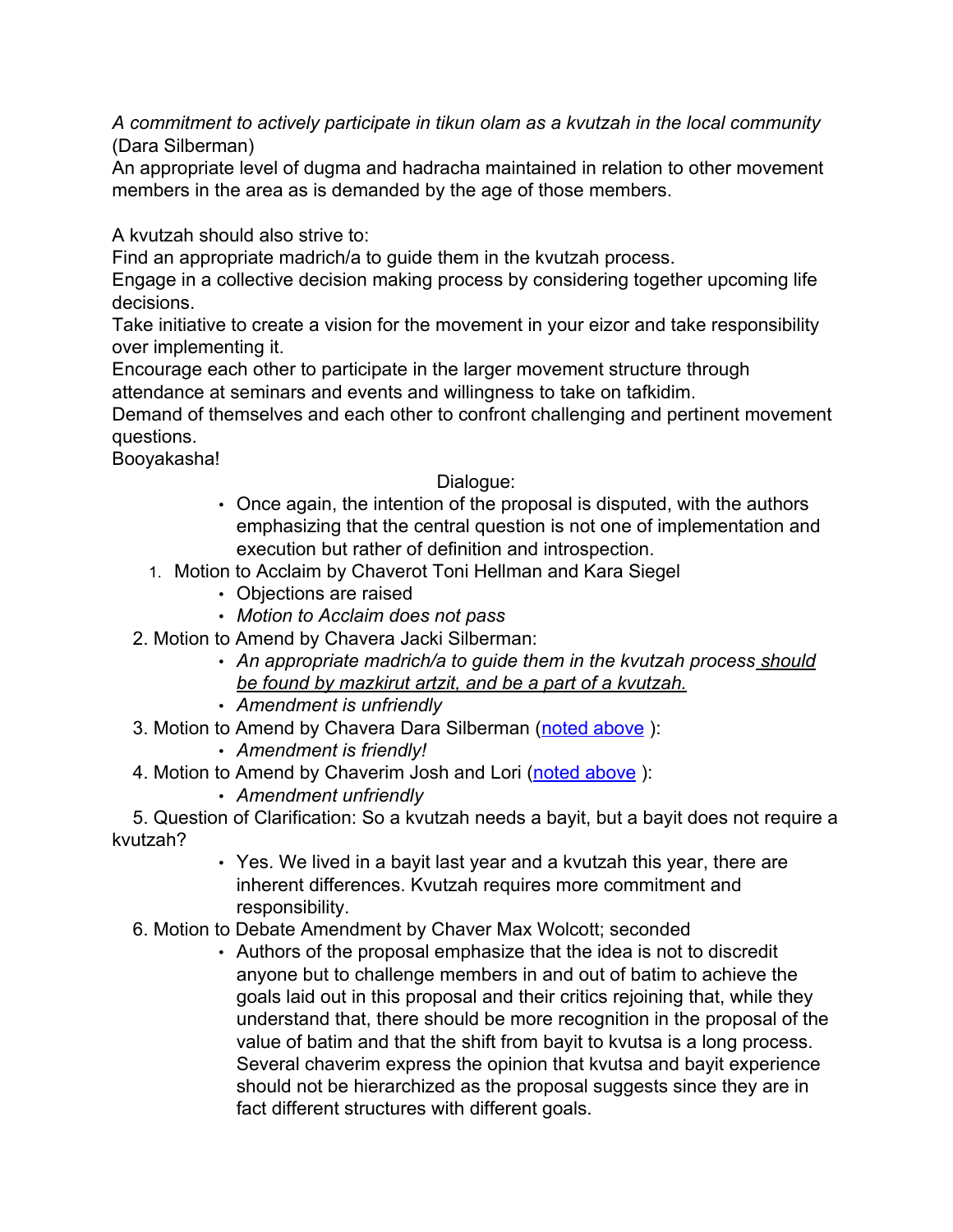*A commitment to actively participate in tikun olam as a kvutzah in the local community* (Dara Silberman)

An appropriate level of dugma and hadracha maintained in relation to other movement members in the area as is demanded by the age of those members.

A kvutzah should also strive to:

Find an appropriate madrich/a to guide them in the kvutzah process.

Engage in a collective decision making process by considering together upcoming life decisions.

Take initiative to create a vision for the movement in your eizor and take responsibility over implementing it.

Encourage each other to participate in the larger movement structure through attendance at seminars and events and willingness to take on tafkidim.

Demand of themselves and each other to confront challenging and pertinent movement questions.

Booyakasha!

### Dialogue:

- Once again, the intention of the proposal is disputed, with the authors emphasizing that the central question is not one of implementation and execution but rather of definition and introspection.
- 1. Motion to Acclaim by Chaverot Toni Hellman and Kara Siegel
	- Objections are raised
	- *Motion to Acclaim does not pass*
- 2. Motion to Amend by Chavera Jacki Silberman:
	- *An appropriate madrich/a to guide them in the kvutzah process should be found by mazkirut artzit, and be a part of a kvutzah.*
	- *Amendment is unfriendly*
- 3. Motion to Amend by Chavera Dara Silberman (noted above):
	- *Amendment is friendly!*
- 4. Motion to Amend by Chaverim Josh and Lori (noted above ):
	- *Amendment unfriendly*

5. Question of Clarification: So a kvutzah needs a bayit, but a bayit does not require a kvutzah?

- Yes. We lived in a bayit last year and a kvutzah this year, there are inherent differences. Kvutzah requires more commitment and responsibility.
- 6. Motion to Debate Amendment by Chaver Max Wolcott; seconded
	- Authors of the proposal emphasize that the idea is not to discredit anyone but to challenge members in and out of batim to achieve the goals laid out in this proposal and their critics rejoining that, while they understand that, there should be more recognition in the proposal of the value of batim and that the shift from bayit to kvutsa is a long process. Several chaverim express the opinion that kvutsa and bayit experience should not be hierarchized as the proposal suggests since they are in fact different structures with different goals.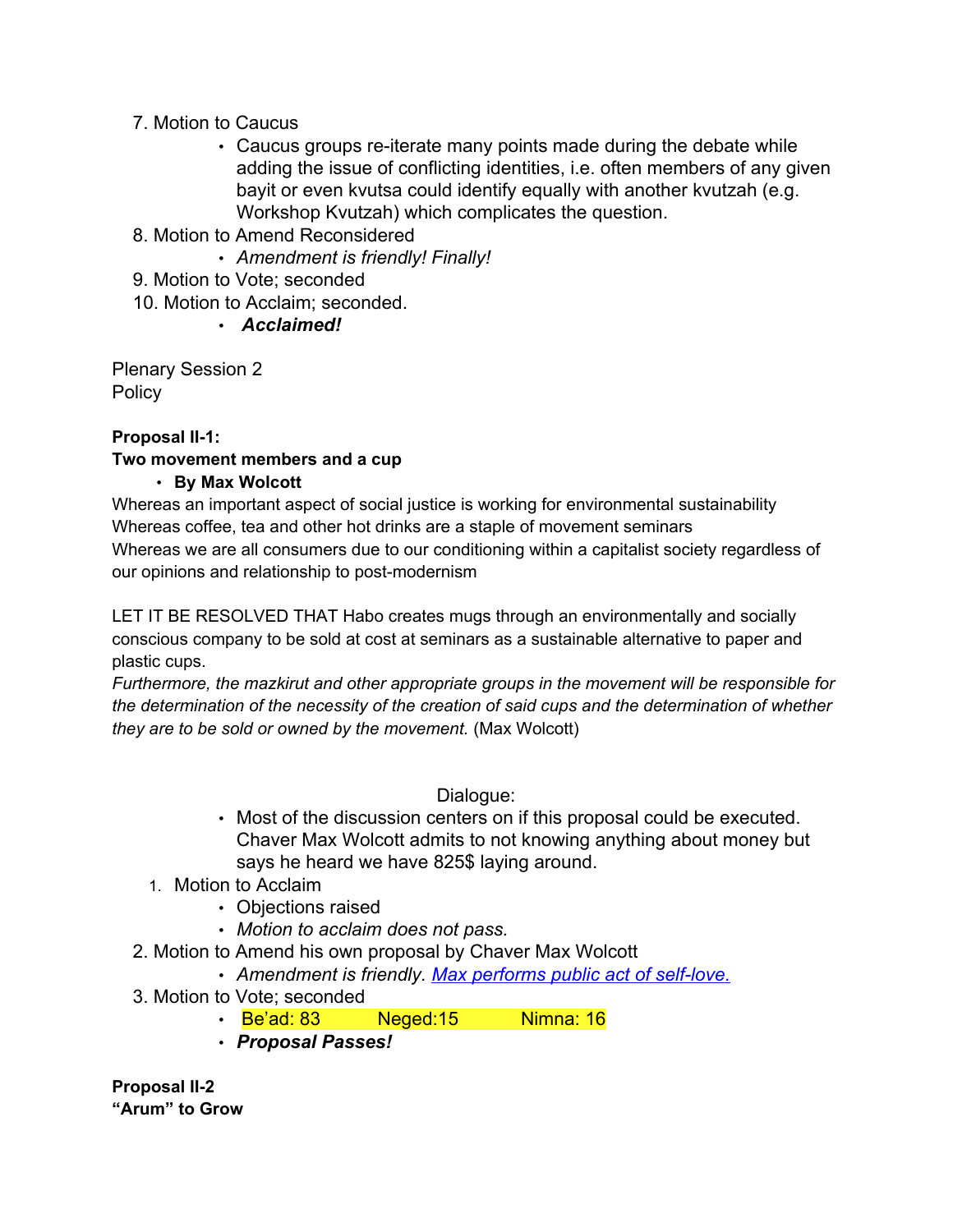# 7. Motion to Caucus

- Caucus groups re-iterate many points made during the debate while adding the issue of conflicting identities, i.e. often members of any given bayit or even kvutsa could identify equally with another kvutzah (e.g. Workshop Kvutzah) which complicates the question.
- 8. Motion to Amend Reconsidered
	- *Amendment is friendly! Finally!*
- 9. Motion to Vote; seconded
- 10. Motion to Acclaim; seconded.

• *Acclaimed!*

Plenary Session 2 **Policy** 

### **Proposal II-1:**

### **Two movement members and a cup**

### • **By Max Wolcott**

Whereas an important aspect of social justice is working for environmental sustainability Whereas coffee, tea and other hot drinks are a staple of movement seminars Whereas we are all consumers due to our conditioning within a capitalist society regardless of our opinions and relationship to post-modernism

LET IT BE RESOLVED THAT Habo creates mugs through an environmentally and socially conscious company to be sold at cost at seminars as a sustainable alternative to paper and plastic cups.

*Furthermore, the mazkirut and other appropriate groups in the movement will be responsible for the determination of the necessity of the creation of said cups and the determination of whether they are to be sold or owned by the movement.* (Max Wolcott)

Dialogue:

- Most of the discussion centers on if this proposal could be executed. Chaver Max Wolcott admits to not knowing anything about money but says he heard we have 825\$ laying around.
- 1. Motion to Acclaim
	- Objections raised
	- *Motion to acclaim does not pass.*
- 2. Motion to Amend his own proposal by Chaver Max Wolcott

• *Amendment is friendly. [Max performs public act of self-love.](http://www.facebook.com/people/Max_Wolcott/4304844)*

- 3. Motion to Vote; seconded
	- Be'ad: 83 Neged: 15 Nimna: 16
	- *Proposal Passes!*

**Proposal II-2 "Arum" to Grow**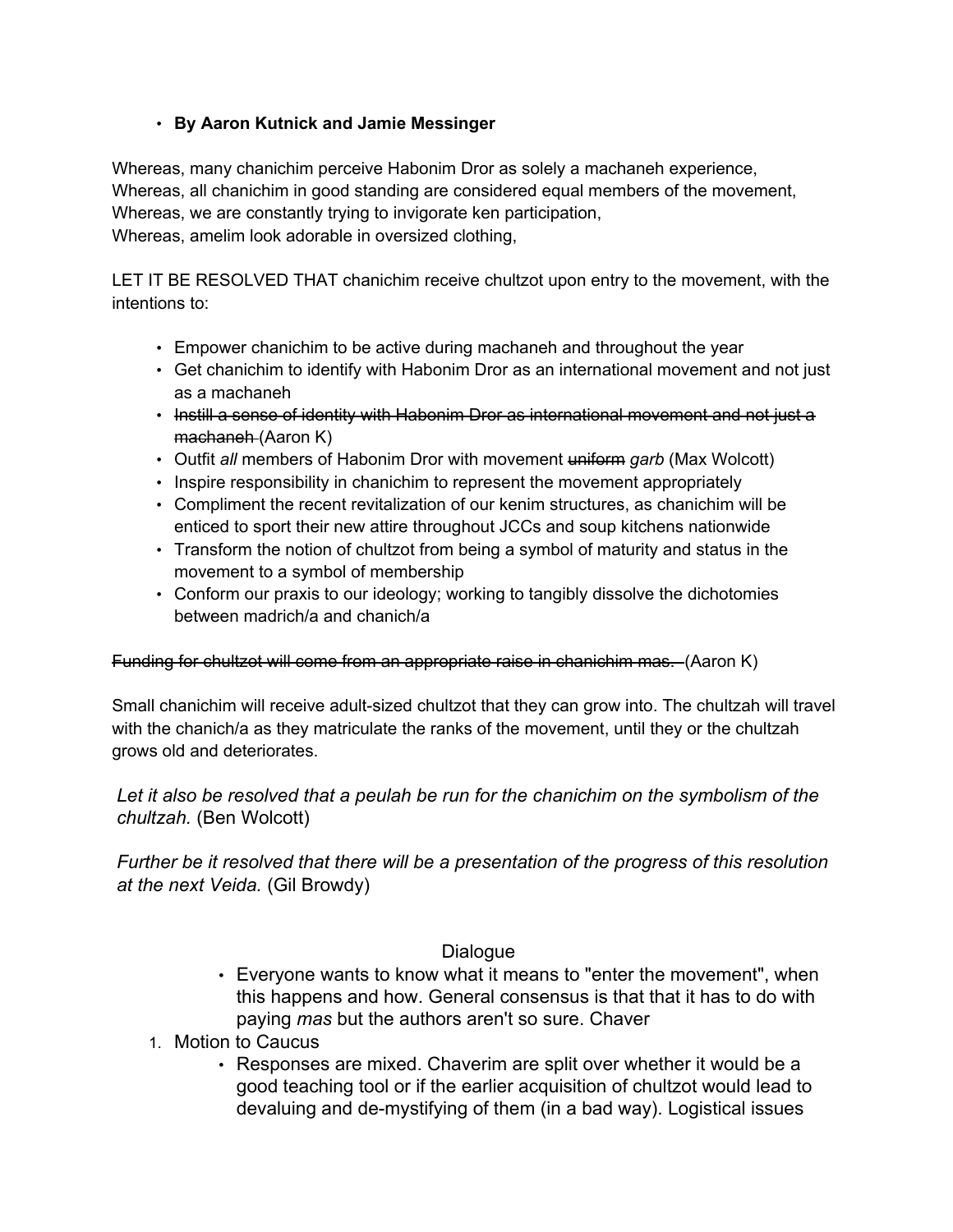### • **By Aaron Kutnick and Jamie Messinger**

Whereas, many chanichim perceive Habonim Dror as solely a machaneh experience, Whereas, all chanichim in good standing are considered equal members of the movement, Whereas, we are constantly trying to invigorate ken participation, Whereas, amelim look adorable in oversized clothing,

LET IT BE RESOLVED THAT chanichim receive chultzot upon entry to the movement, with the intentions to:

- Empower chanichim to be active during machaneh and throughout the year
- Get chanichim to identify with Habonim Dror as an international movement and not just as a machaneh
- Instill a sense of identity with Habonim Dror as international movement and not just a machaneh (Aaron K)
- Outfit *all* members of Habonim Dror with movement uniform *garb* (Max Wolcott)
- Inspire responsibility in chanichim to represent the movement appropriately
- Compliment the recent revitalization of our kenim structures, as chanichim will be enticed to sport their new attire throughout JCCs and soup kitchens nationwide
- Transform the notion of chultzot from being a symbol of maturity and status in the movement to a symbol of membership
- Conform our praxis to our ideology; working to tangibly dissolve the dichotomies between madrich/a and chanich/a

### Funding for chultzot will come from an appropriate raise in chanichim mas. (Aaron K)

Small chanichim will receive adult-sized chultzot that they can grow into. The chultzah will travel with the chanich/a as they matriculate the ranks of the movement, until they or the chultzah grows old and deteriorates.

### *Let it also be resolved that a peulah be run for the chanichim on the symbolism of the chultzah.* (Ben Wolcott)

*Further be it resolved that there will be a presentation of the progress of this resolution at the next Veida.* (Gil Browdy)

### Dialogue

- Everyone wants to know what it means to "enter the movement", when this happens and how. General consensus is that that it has to do with paying *mas* but the authors aren't so sure. Chaver
- 1. Motion to Caucus
	- Responses are mixed. Chaverim are split over whether it would be a good teaching tool or if the earlier acquisition of chultzot would lead to devaluing and de-mystifying of them (in a bad way). Logistical issues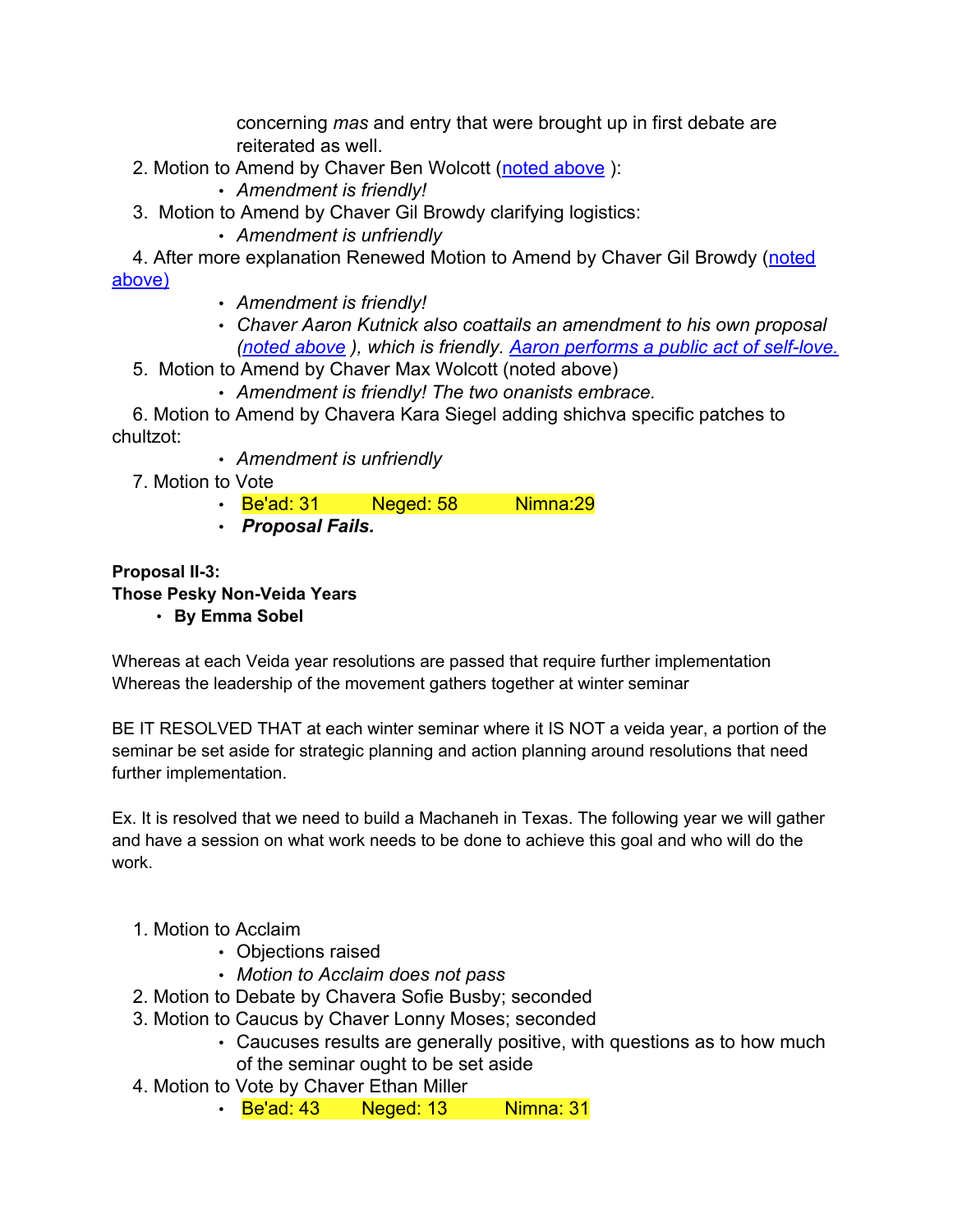concerning *mas* and entry that were brought up in first debate are reiterated as well.

- 2. Motion to Amend by Chaver Ben Wolcott (noted above):
	- *Amendment is friendly!*
- 3. Motion to Amend by Chaver Gil Browdy clarifying logistics:
	- *Amendment is unfriendly*

4. After more explanation Renewed Motion to Amend by Chaver Gil Browdy (noted above)

- *Amendment is friendly!*
- *Chaver Aaron Kutnick also coattails an amendment to his own proposal (noted above ), which is friendly. [Aaron performs a public act of self-love.](http://www.emophilips.com/epk/images/emo_philips_love_hug_7x10-300.jpg)*
- 5. Motion to Amend by Chaver Max Wolcott (noted above)
	- *Amendment is friendly! The two onanists embrace.*

6. Motion to Amend by Chavera Kara Siegel adding shichva specific patches to chultzot:

- *Amendment is unfriendly*
- 7. Motion to Vote
	- Be'ad: 31 Neged: 58 Nimna: 29
	- *Proposal Fails.*

# **Proposal II-3: Those Pesky Non-Veida Years**

• **By Emma Sobel**

Whereas at each Veida year resolutions are passed that require further implementation Whereas the leadership of the movement gathers together at winter seminar

BE IT RESOLVED THAT at each winter seminar where it IS NOT a veida year, a portion of the seminar be set aside for strategic planning and action planning around resolutions that need further implementation.

Ex. It is resolved that we need to build a Machaneh in Texas. The following year we will gather and have a session on what work needs to be done to achieve this goal and who will do the work.

### 1. Motion to Acclaim

- Objections raised
- *Motion to Acclaim does not pass*
- 2. Motion to Debate by Chavera Sofie Busby; seconded
- 3. Motion to Caucus by Chaver Lonny Moses; seconded
	- Caucuses results are generally positive, with questions as to how much of the seminar ought to be set aside
- 4. Motion to Vote by Chaver Ethan Miller
	- Be'ad: 43 Neged: 13 Nimna: 31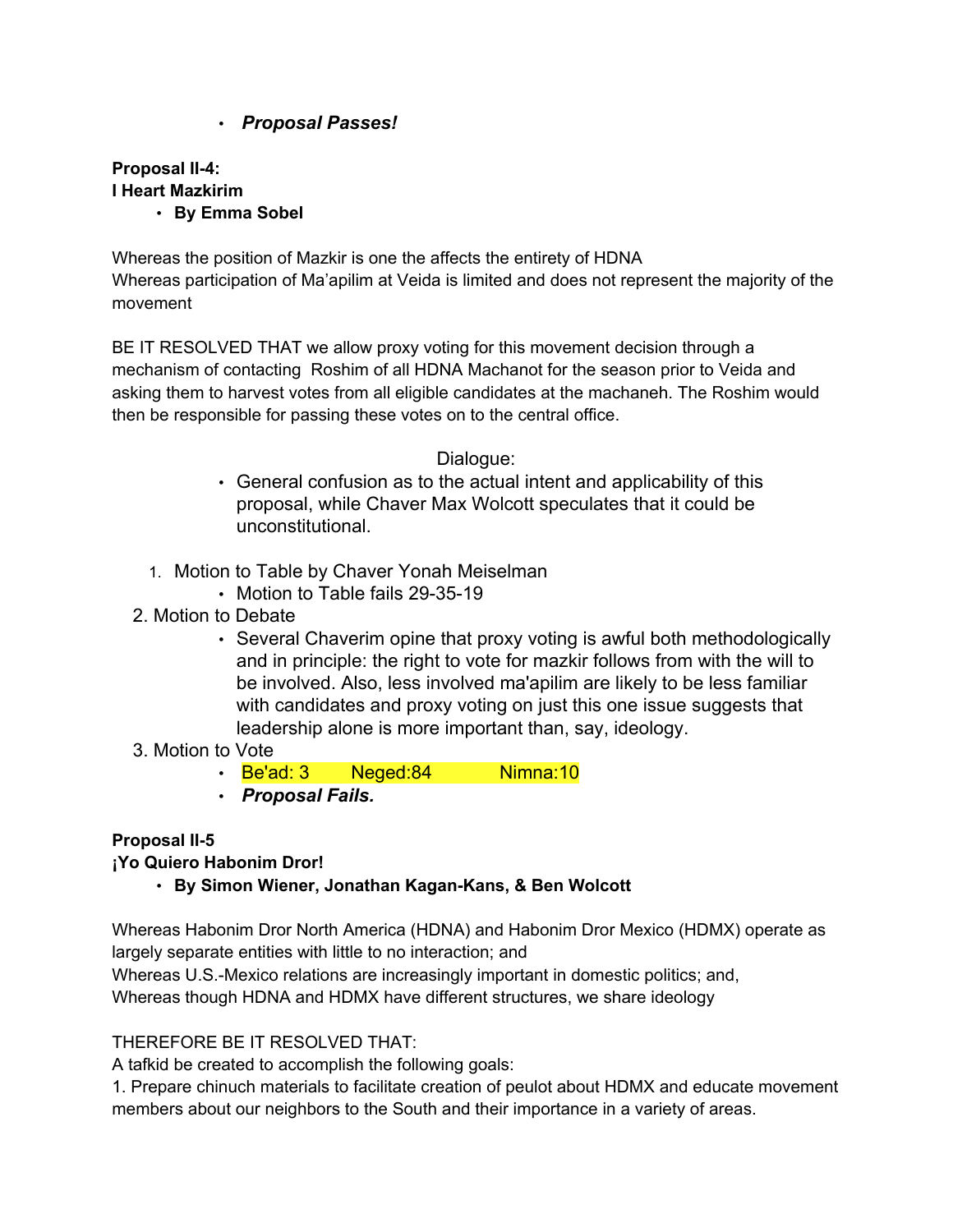# • *Proposal Passes!*

**Proposal II-4: I Heart Mazkirim** • **By Emma Sobel**

Whereas the position of Mazkir is one the affects the entirety of HDNA Whereas participation of Ma'apilim at Veida is limited and does not represent the majority of the movement

BE IT RESOLVED THAT we allow proxy voting for this movement decision through a mechanism of contacting Roshim of all HDNA Machanot for the season prior to Veida and asking them to harvest votes from all eligible candidates at the machaneh. The Roshim would then be responsible for passing these votes on to the central office.

Dialogue:

- General confusion as to the actual intent and applicability of this proposal, while Chaver Max Wolcott speculates that it could be unconstitutional.
- 1. Motion to Table by Chaver Yonah Meiselman
	- Motion to Table fails 29-35-19
- 2. Motion to Debate
	- Several Chaverim opine that proxy voting is awful both methodologically and in principle: the right to vote for mazkir follows from with the will to be involved. Also, less involved ma'apilim are likely to be less familiar with candidates and proxy voting on just this one issue suggests that leadership alone is more important than, say, ideology.
- 3. Motion to Vote
	- Be'ad: 3 Neged: 84 Nimna: 10
	- *Proposal Fails.*

### **Proposal II-5**

**¡Yo Quiero Habonim Dror!**

• **By Simon Wiener, Jonathan Kagan-Kans, & Ben Wolcott**

Whereas Habonim Dror North America (HDNA) and Habonim Dror Mexico (HDMX) operate as largely separate entities with little to no interaction; and

Whereas U.S.-Mexico relations are increasingly important in domestic politics; and, Whereas though HDNA and HDMX have different structures, we share ideology

### THEREFORE BE IT RESOLVED THAT:

A tafkid be created to accomplish the following goals:

1. Prepare chinuch materials to facilitate creation of peulot about HDMX and educate movement members about our neighbors to the South and their importance in a variety of areas.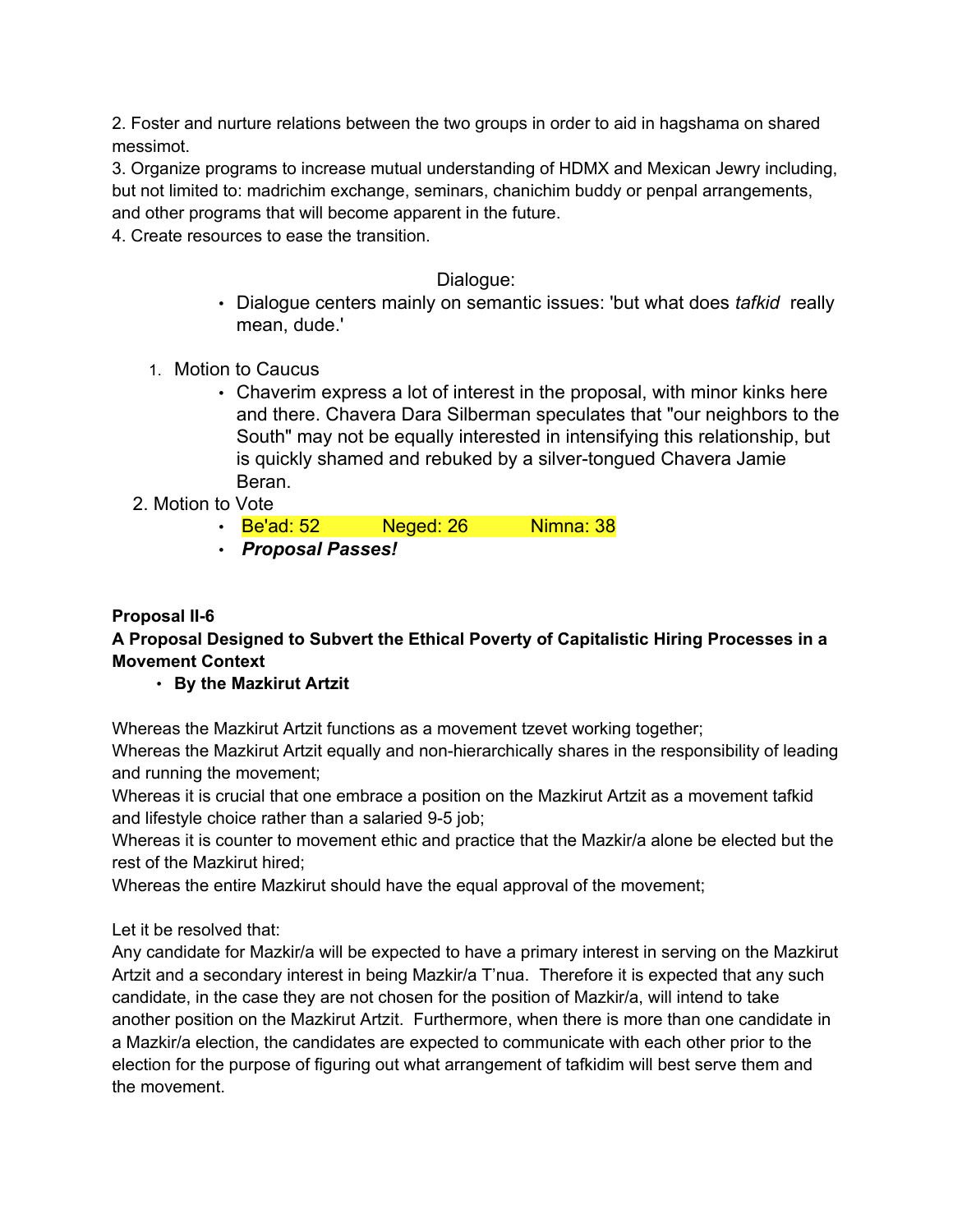2. Foster and nurture relations between the two groups in order to aid in hagshama on shared messimot.

3. Organize programs to increase mutual understanding of HDMX and Mexican Jewry including, but not limited to: madrichim exchange, seminars, chanichim buddy or penpal arrangements, and other programs that will become apparent in the future.

4. Create resources to ease the transition.

### Dialogue:

- Dialogue centers mainly on semantic issues: 'but what does *tafkid* really mean, dude.'
- 1. Motion to Caucus
	- Chaverim express a lot of interest in the proposal, with minor kinks here and there. Chavera Dara Silberman speculates that "our neighbors to the South" may not be equally interested in intensifying this relationship, but is quickly shamed and rebuked by a silver-tongued Chavera Jamie Beran.
- 2. Motion to Vote
	- Be'ad: 52 Neged: 26 Nimna: 38
	- *Proposal Passes!*

### **Proposal II-6**

### **A Proposal Designed to Subvert the Ethical Poverty of Capitalistic Hiring Processes in a Movement Context**

• **By the Mazkirut Artzit**

Whereas the Mazkirut Artzit functions as a movement tzevet working together;

Whereas the Mazkirut Artzit equally and non-hierarchically shares in the responsibility of leading and running the movement;

Whereas it is crucial that one embrace a position on the Mazkirut Artzit as a movement tafkid and lifestyle choice rather than a salaried 9-5 job;

Whereas it is counter to movement ethic and practice that the Mazkir/a alone be elected but the rest of the Mazkirut hired;

Whereas the entire Mazkirut should have the equal approval of the movement;

Let it be resolved that:

Any candidate for Mazkir/a will be expected to have a primary interest in serving on the Mazkirut Artzit and a secondary interest in being Mazkir/a T'nua. Therefore it is expected that any such candidate, in the case they are not chosen for the position of Mazkir/a, will intend to take another position on the Mazkirut Artzit. Furthermore, when there is more than one candidate in a Mazkir/a election, the candidates are expected to communicate with each other prior to the election for the purpose of figuring out what arrangement of tafkidim will best serve them and the movement.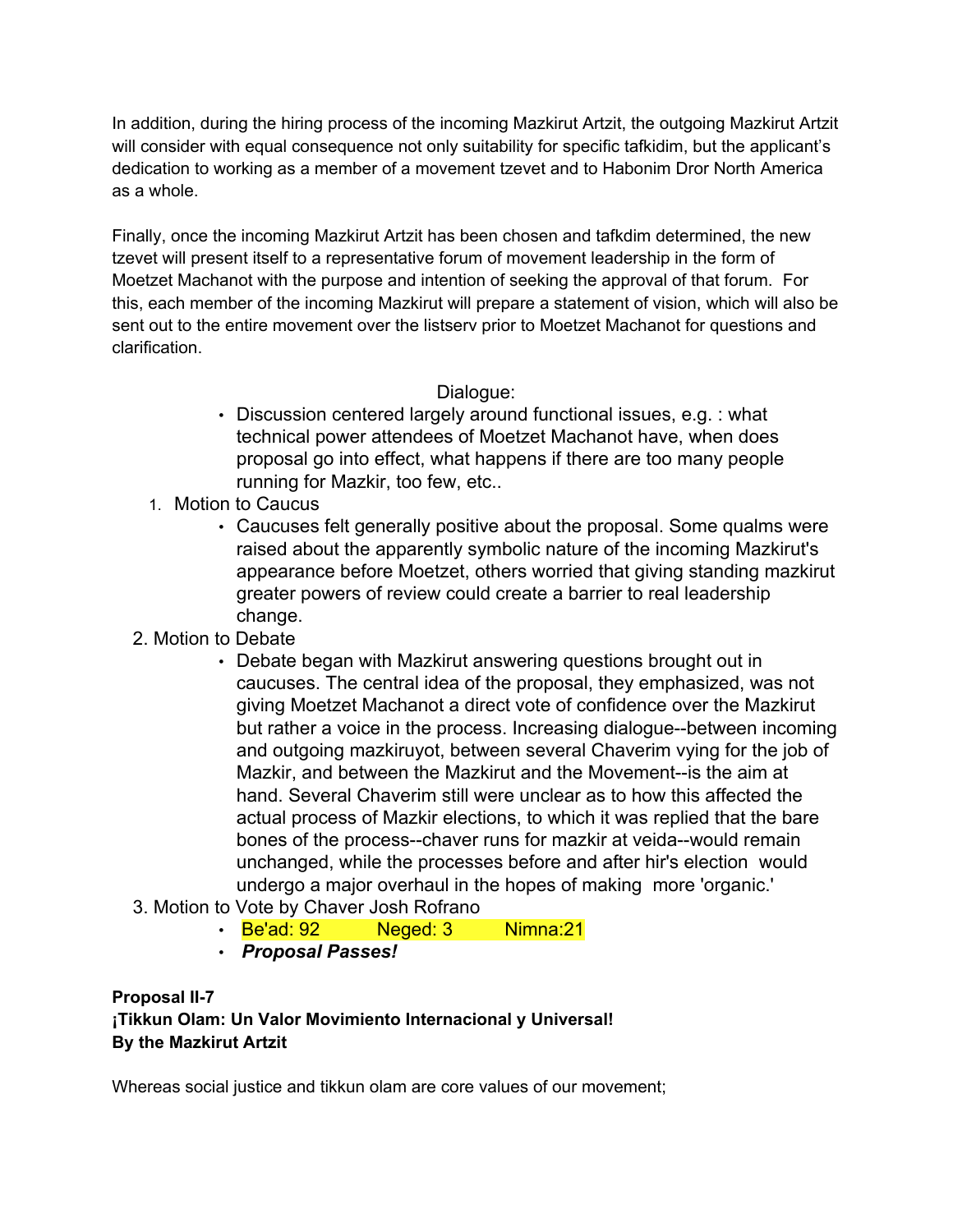In addition, during the hiring process of the incoming Mazkirut Artzit, the outgoing Mazkirut Artzit will consider with equal consequence not only suitability for specific tafkidim, but the applicant's dedication to working as a member of a movement tzevet and to Habonim Dror North America as a whole.

Finally, once the incoming Mazkirut Artzit has been chosen and tafkdim determined, the new tzevet will present itself to a representative forum of movement leadership in the form of Moetzet Machanot with the purpose and intention of seeking the approval of that forum. For this, each member of the incoming Mazkirut will prepare a statement of vision, which will also be sent out to the entire movement over the listserv prior to Moetzet Machanot for questions and clarification.

### Dialogue:

- Discussion centered largely around functional issues, e.g. : what technical power attendees of Moetzet Machanot have, when does proposal go into effect, what happens if there are too many people running for Mazkir, too few, etc..
- 1. Motion to Caucus
	- Caucuses felt generally positive about the proposal. Some qualms were raised about the apparently symbolic nature of the incoming Mazkirut's appearance before Moetzet, others worried that giving standing mazkirut greater powers of review could create a barrier to real leadership change.
- 2. Motion to Debate
	- Debate began with Mazkirut answering questions brought out in caucuses. The central idea of the proposal, they emphasized, was not giving Moetzet Machanot a direct vote of confidence over the Mazkirut but rather a voice in the process. Increasing dialogue--between incoming and outgoing mazkiruyot, between several Chaverim vying for the job of Mazkir, and between the Mazkirut and the Movement--is the aim at hand. Several Chaverim still were unclear as to how this affected the actual process of Mazkir elections, to which it was replied that the bare bones of the process--chaver runs for mazkir at veida--would remain unchanged, while the processes before and after hir's election would undergo a major overhaul in the hopes of making more 'organic.'
- 3. Motion to Vote by Chaver Josh Rofrano
	- Be'ad: 92 Meged: 3 Nimna: 21
	- *Proposal Passes!*

#### **Proposal II-7 ¡Tikkun Olam: Un Valor Movimiento Internacional y Universal! By the Mazkirut Artzit**

Whereas social justice and tikkun olam are core values of our movement;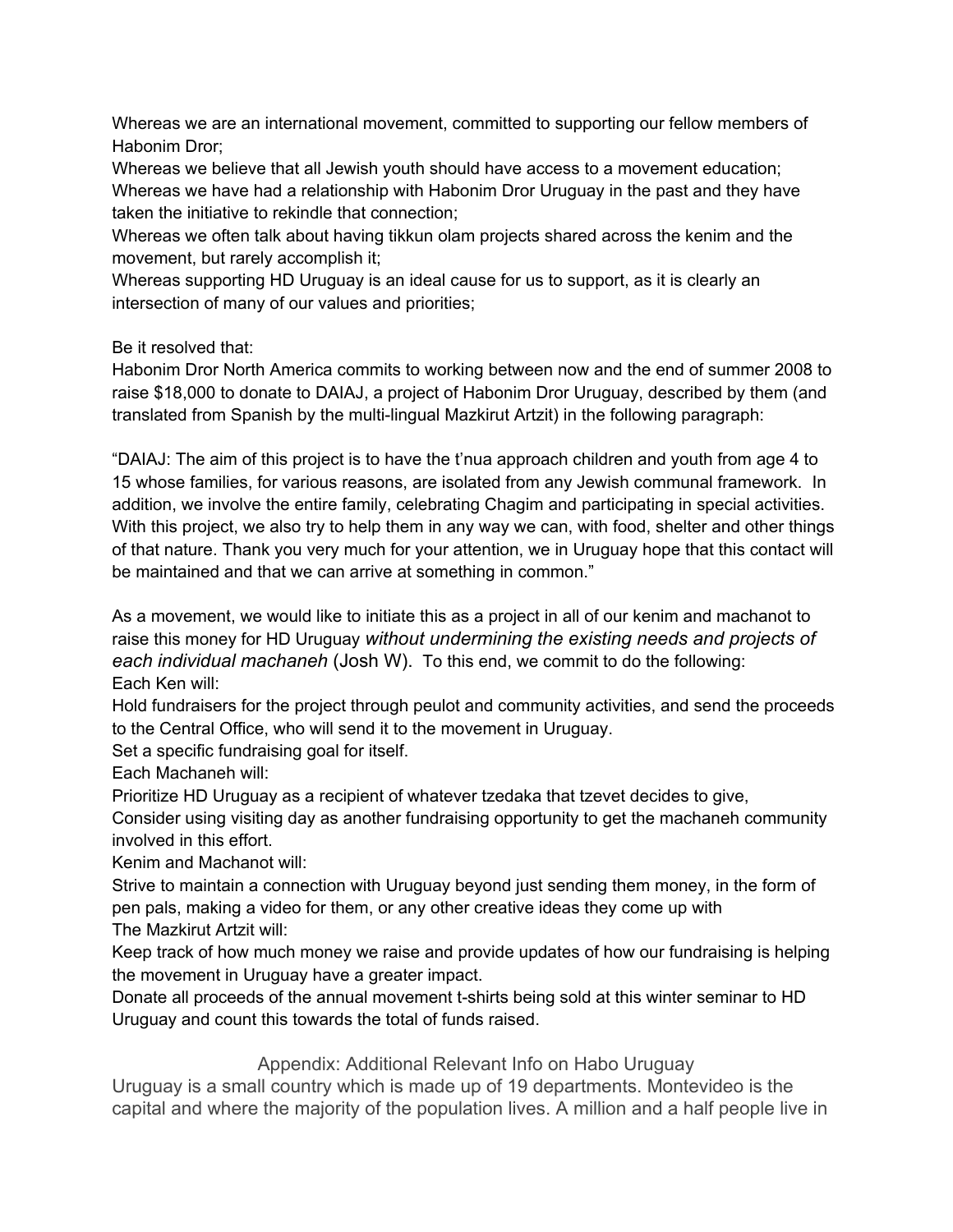Whereas we are an international movement, committed to supporting our fellow members of Habonim Dror;

Whereas we believe that all Jewish youth should have access to a movement education; Whereas we have had a relationship with Habonim Dror Uruguay in the past and they have taken the initiative to rekindle that connection;

Whereas we often talk about having tikkun olam projects shared across the kenim and the movement, but rarely accomplish it;

Whereas supporting HD Uruguay is an ideal cause for us to support, as it is clearly an intersection of many of our values and priorities;

Be it resolved that:

Habonim Dror North America commits to working between now and the end of summer 2008 to raise \$18,000 to donate to DAIAJ, a project of Habonim Dror Uruguay, described by them (and translated from Spanish by the multi-lingual Mazkirut Artzit) in the following paragraph:

"DAIAJ: The aim of this project is to have the t'nua approach children and youth from age 4 to 15 whose families, for various reasons, are isolated from any Jewish communal framework. In addition, we involve the entire family, celebrating Chagim and participating in special activities. With this project, we also try to help them in any way we can, with food, shelter and other things of that nature. Thank you very much for your attention, we in Uruguay hope that this contact will be maintained and that we can arrive at something in common."

As a movement, we would like to initiate this as a project in all of our kenim and machanot to raise this money for HD Uruguay *without undermining the existing needs and projects of each individual machaneh* (Josh W). To this end, we commit to do the following: Each Ken will:

Hold fundraisers for the project through peulot and community activities, and send the proceeds to the Central Office, who will send it to the movement in Uruguay.

Set a specific fundraising goal for itself.

Each Machaneh will:

Prioritize HD Uruguay as a recipient of whatever tzedaka that tzevet decides to give,

Consider using visiting day as another fundraising opportunity to get the machaneh community involved in this effort.

Kenim and Machanot will:

Strive to maintain a connection with Uruguay beyond just sending them money, in the form of pen pals, making a video for them, or any other creative ideas they come up with The Mazkirut Artzit will:

Keep track of how much money we raise and provide updates of how our fundraising is helping the movement in Uruguay have a greater impact.

Donate all proceeds of the annual movement t-shirts being sold at this winter seminar to HD Uruguay and count this towards the total of funds raised.

Appendix: Additional Relevant Info on Habo Uruguay

Uruguay is a small country which is made up of 19 departments. Montevideo is the capital and where the majority of the population lives. A million and a half people live in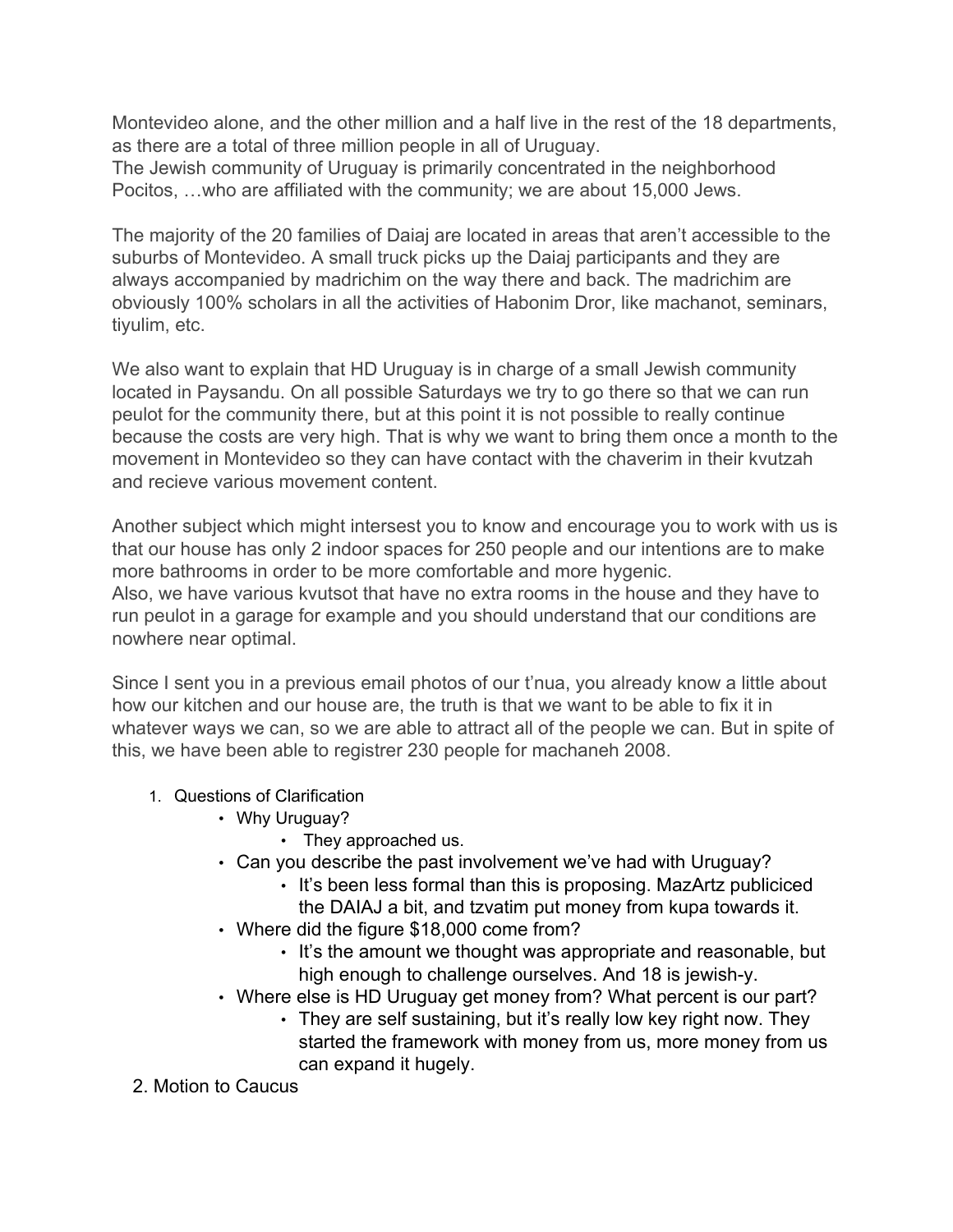Montevideo alone, and the other million and a half live in the rest of the 18 departments, as there are a total of three million people in all of Uruguay. The Jewish community of Uruguay is primarily concentrated in the neighborhood Pocitos, …who are affiliated with the community; we are about 15,000 Jews.

The majority of the 20 families of Daiaj are located in areas that aren't accessible to the suburbs of Montevideo. A small truck picks up the Daiaj participants and they are always accompanied by madrichim on the way there and back. The madrichim are obviously 100% scholars in all the activities of Habonim Dror, like machanot, seminars, tiyulim, etc.

We also want to explain that HD Uruguay is in charge of a small Jewish community located in Paysandu. On all possible Saturdays we try to go there so that we can run peulot for the community there, but at this point it is not possible to really continue because the costs are very high. That is why we want to bring them once a month to the movement in Montevideo so they can have contact with the chaverim in their kvutzah and recieve various movement content.

Another subject which might intersest you to know and encourage you to work with us is that our house has only 2 indoor spaces for 250 people and our intentions are to make more bathrooms in order to be more comfortable and more hygenic. Also, we have various kvutsot that have no extra rooms in the house and they have to run peulot in a garage for example and you should understand that our conditions are nowhere near optimal.

Since I sent you in a previous email photos of our t'nua, you already know a little about how our kitchen and our house are, the truth is that we want to be able to fix it in whatever ways we can, so we are able to attract all of the people we can. But in spite of this, we have been able to registrer 230 people for machaneh 2008.

- 1. Questions of Clarification
	- Why Uruguay?
		- They approached us.
	- Can you describe the past involvement we've had with Uruguay?
		- It's been less formal than this is proposing. MazArtz publiciced the DAIAJ a bit, and tzvatim put money from kupa towards it.
	- Where did the figure \$18,000 come from?
		- It's the amount we thought was appropriate and reasonable, but high enough to challenge ourselves. And 18 is jewish-y.
	- Where else is HD Uruguay get money from? What percent is our part?
		- They are self sustaining, but it's really low key right now. They started the framework with money from us, more money from us can expand it hugely.
- 2. Motion to Caucus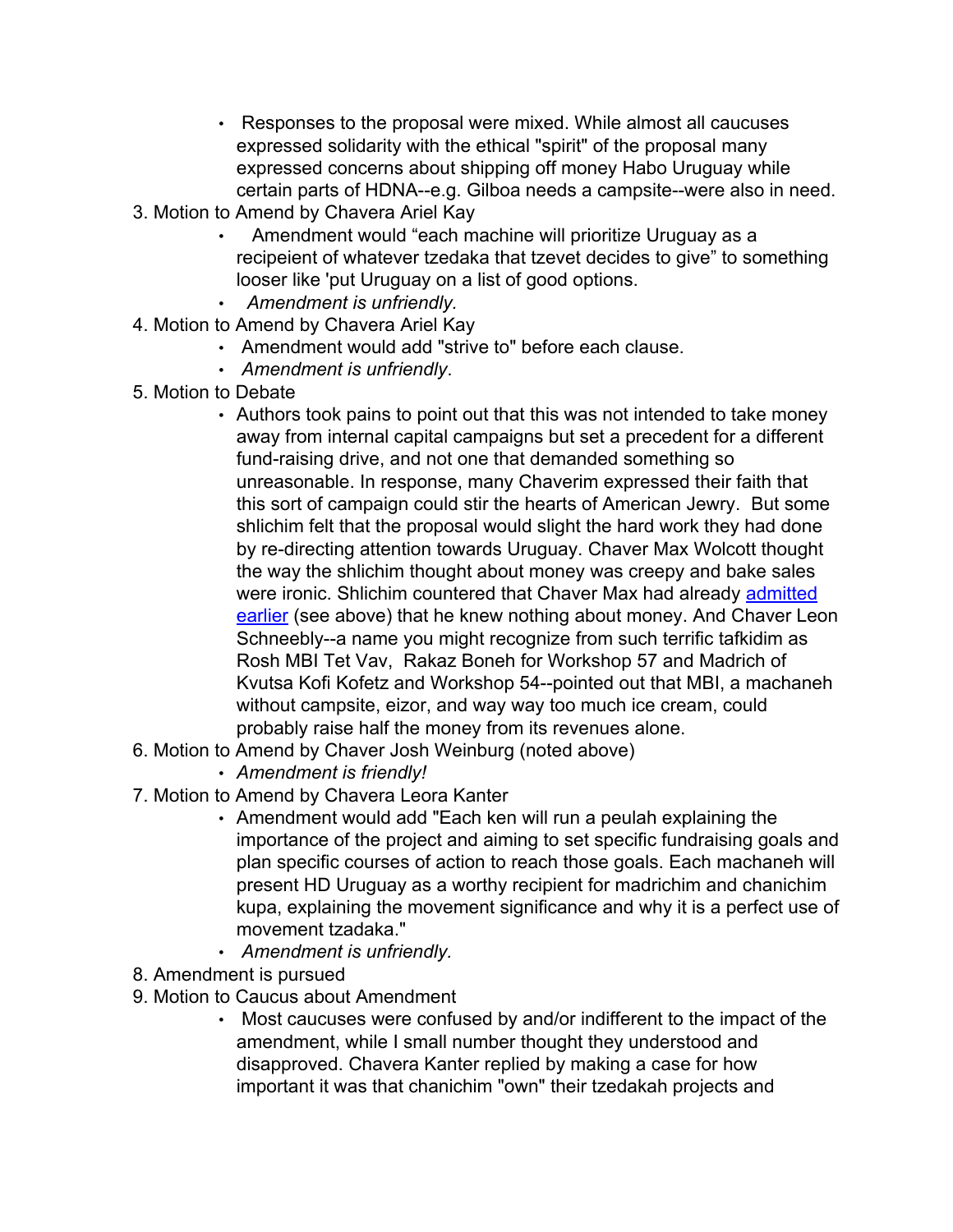- Responses to the proposal were mixed. While almost all caucuses expressed solidarity with the ethical "spirit" of the proposal many expressed concerns about shipping off money Habo Uruguay while certain parts of HDNA--e.g. Gilboa needs a campsite--were also in need.
- 3. Motion to Amend by Chavera Ariel Kay
	- Amendment would "each machine will prioritize Uruguay as a recipeient of whatever tzedaka that tzevet decides to give" to something looser like 'put Uruguay on a list of good options.
	- *Amendment is unfriendly.*
- 4. Motion to Amend by Chavera Ariel Kay
	- Amendment would add "strive to" before each clause.
	- *Amendment is unfriendly*.
- 5. Motion to Debate
	- Authors took pains to point out that this was not intended to take money away from internal capital campaigns but set a precedent for a different fund-raising drive, and not one that demanded something so unreasonable. In response, many Chaverim expressed their faith that this sort of campaign could stir the hearts of American Jewry. But some shlichim felt that the proposal would slight the hard work they had done by re-directing attention towards Uruguay. Chaver Max Wolcott thought the way the shlichim thought about money was creepy and bake sales were ironic. Shlichim countered that Chaver Max had already admitted earlier (see above) that he knew nothing about money. And Chaver Leon Schneebly--a name you might recognize from such terrific tafkidim as Rosh MBI Tet Vav, Rakaz Boneh for Workshop 57 and Madrich of Kvutsa Kofi Kofetz and Workshop 54--pointed out that MBI, a machaneh without campsite, eizor, and way way too much ice cream, could probably raise half the money from its revenues alone.
- 6. Motion to Amend by Chaver Josh Weinburg (noted above)
	- *Amendment is friendly!*
- 7. Motion to Amend by Chavera Leora Kanter
	- Amendment would add "Each ken will run a peulah explaining the importance of the project and aiming to set specific fundraising goals and plan specific courses of action to reach those goals. Each machaneh will present HD Uruguay as a worthy recipient for madrichim and chanichim kupa, explaining the movement significance and why it is a perfect use of movement tzadaka."
	- *Amendment is unfriendly.*
- 8. Amendment is pursued
- 9. Motion to Caucus about Amendment
	- Most caucuses were confused by and/or indifferent to the impact of the amendment, while I small number thought they understood and disapproved. Chavera Kanter replied by making a case for how important it was that chanichim "own" their tzedakah projects and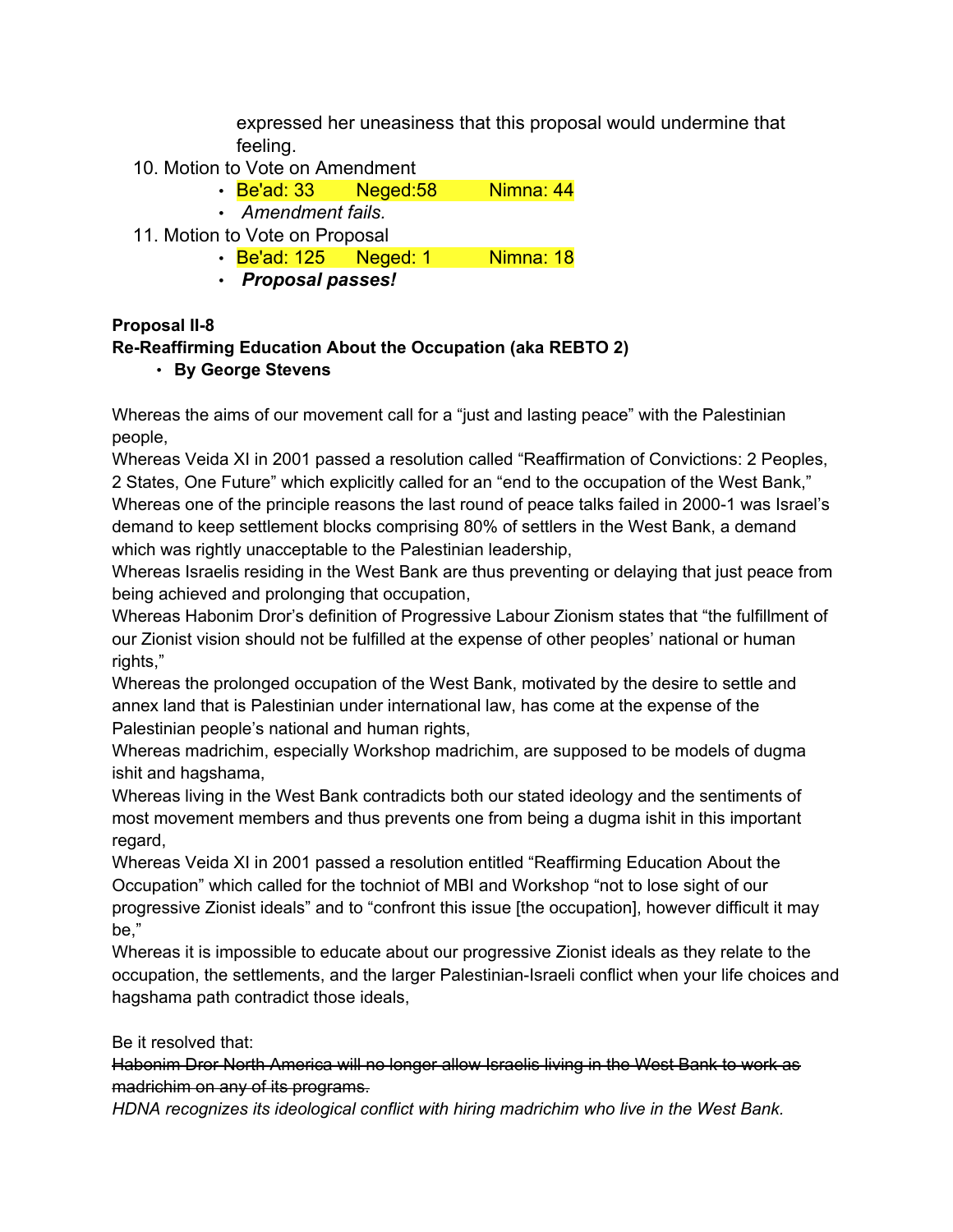expressed her uneasiness that this proposal would undermine that feeling.

- 10. Motion to Vote on Amendment
	- Be'ad: 33 Neged: 58 Nimna: 44
	- *Amendment fails.*
- 11. Motion to Vote on Proposal
	- Be'ad: 125 Neged: 1 Nimna: 18
	- *Proposal passes!*

### **Proposal II-8**

# **Re-Reaffirming Education About the Occupation (aka REBTO 2)**

### • **By George Stevens**

Whereas the aims of our movement call for a "just and lasting peace" with the Palestinian people,

Whereas Veida XI in 2001 passed a resolution called "Reaffirmation of Convictions: 2 Peoples, 2 States, One Future" which explicitly called for an "end to the occupation of the West Bank," Whereas one of the principle reasons the last round of peace talks failed in 2000-1 was Israel's demand to keep settlement blocks comprising 80% of settlers in the West Bank, a demand which was rightly unacceptable to the Palestinian leadership,

Whereas Israelis residing in the West Bank are thus preventing or delaying that just peace from being achieved and prolonging that occupation,

Whereas Habonim Dror's definition of Progressive Labour Zionism states that "the fulfillment of our Zionist vision should not be fulfilled at the expense of other peoples' national or human rights."

Whereas the prolonged occupation of the West Bank, motivated by the desire to settle and annex land that is Palestinian under international law, has come at the expense of the Palestinian people's national and human rights,

Whereas madrichim, especially Workshop madrichim, are supposed to be models of dugma ishit and hagshama,

Whereas living in the West Bank contradicts both our stated ideology and the sentiments of most movement members and thus prevents one from being a dugma ishit in this important regard,

Whereas Veida XI in 2001 passed a resolution entitled "Reaffirming Education About the Occupation" which called for the tochniot of MBI and Workshop "not to lose sight of our progressive Zionist ideals" and to "confront this issue [the occupation], however difficult it may be,"

Whereas it is impossible to educate about our progressive Zionist ideals as they relate to the occupation, the settlements, and the larger Palestinian-Israeli conflict when your life choices and hagshama path contradict those ideals,

Be it resolved that:

Habonim Dror North America will no longer allow Israelis living in the West Bank to work as madrichim on any of its programs.

*HDNA recognizes its ideological conflict with hiring madrichim who live in the West Bank.*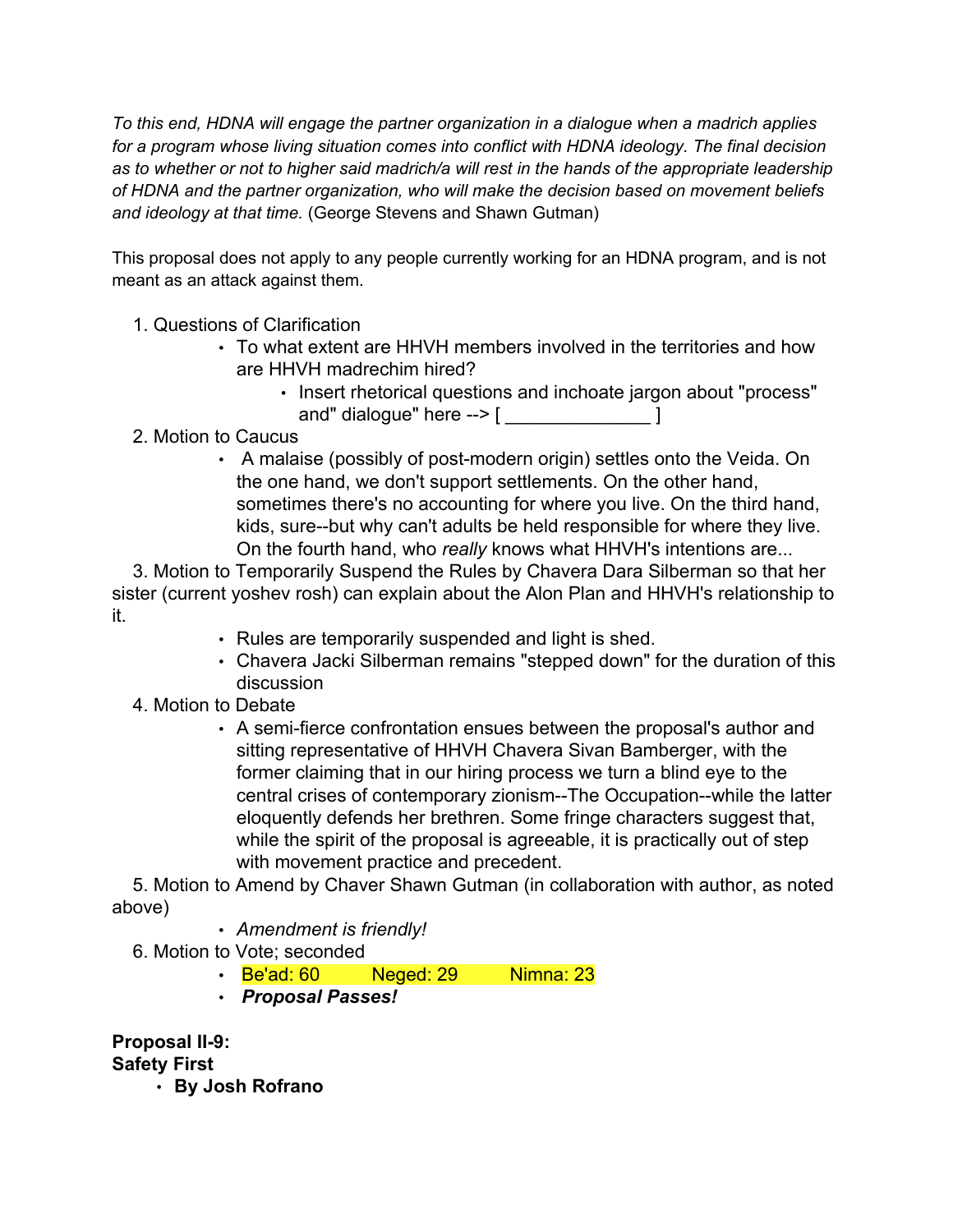*To this end, HDNA will engage the partner organization in a dialogue when a madrich applies for a program whose living situation comes into conflict with HDNA ideology. The final decision as to whether or not to higher said madrich/a will rest in the hands of the appropriate leadership of HDNA and the partner organization, who will make the decision based on movement beliefs and ideology at that time.* (George Stevens and Shawn Gutman)

This proposal does not apply to any people currently working for an HDNA program, and is not meant as an attack against them.

- 1. Questions of Clarification
	- To what extent are HHVH members involved in the territories and how are HHVH madrechim hired?
		- Insert rhetorical questions and inchoate jargon about "process" and" dialogue" here  $--$  [  $\qquad \qquad$  ]
- 2. Motion to Caucus
	- A malaise (possibly of post-modern origin) settles onto the Veida. On the one hand, we don't support settlements. On the other hand, sometimes there's no accounting for where you live. On the third hand, kids, sure--but why can't adults be held responsible for where they live. On the fourth hand, who *really* knows what HHVH's intentions are...

3. Motion to Temporarily Suspend the Rules by Chavera Dara Silberman so that her sister (current yoshev rosh) can explain about the Alon Plan and HHVH's relationship to it.

- Rules are temporarily suspended and light is shed.
- Chavera Jacki Silberman remains "stepped down" for the duration of this discussion
- 4. Motion to Debate
	- A semi-fierce confrontation ensues between the proposal's author and sitting representative of HHVH Chavera Sivan Bamberger, with the former claiming that in our hiring process we turn a blind eye to the central crises of contemporary zionism--The Occupation--while the latter eloquently defends her brethren. Some fringe characters suggest that, while the spirit of the proposal is agreeable, it is practically out of step with movement practice and precedent.

5. Motion to Amend by Chaver Shawn Gutman (in collaboration with author, as noted above)

- *Amendment is friendly!*
- 6. Motion to Vote; seconded
	- Be'ad: 60 Neged: 29 Nimna: 23
	- *Proposal Passes!*

**Proposal II-9:**

**Safety First**

• **By Josh Rofrano**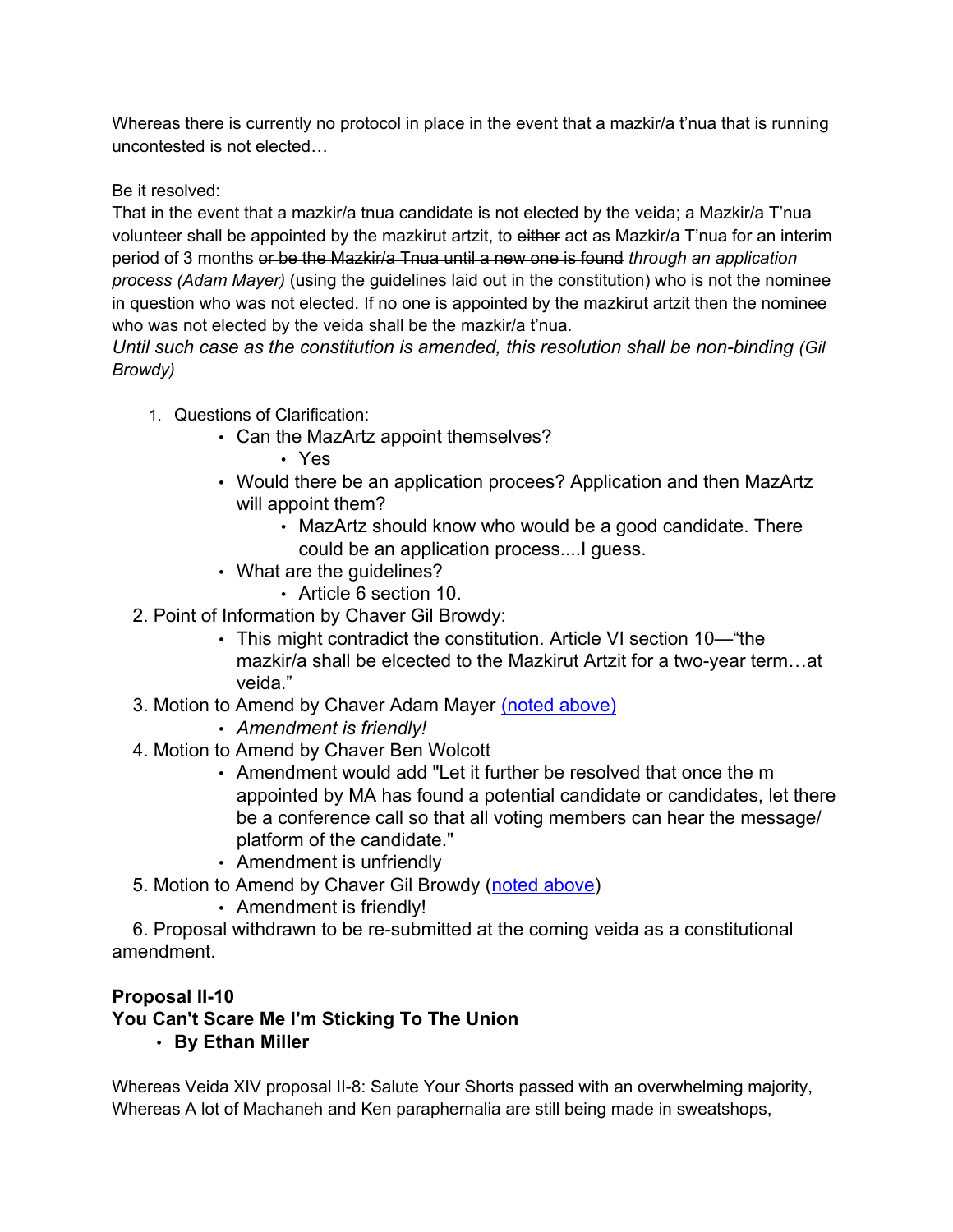Whereas there is currently no protocol in place in the event that a mazkir/a t'nua that is running uncontested is not elected…

Be it resolved:

That in the event that a mazkir/a tnua candidate is not elected by the veida; a Mazkir/a T'nua volunteer shall be appointed by the mazkirut artzit, to either act as Mazkir/a T'nua for an interim period of 3 months or be the Mazkir/a Tnua until a new one is found *through an application process (Adam Mayer)* (using the guidelines laid out in the constitution) who is not the nominee in question who was not elected. If no one is appointed by the mazkirut artzit then the nominee who was not elected by the veida shall be the mazkir/a t'nua.

*Until such case as the constitution is amended, this resolution shall be non-binding (Gil Browdy)*

- 1. Questions of Clarification:
	- Can the MazArtz appoint themselves?
		- Yes
	- Would there be an application procees? Application and then MazArtz will appoint them?
		- MazArtz should know who would be a good candidate. There could be an application process....I guess.
	- What are the guidelines?
		- Article 6 section 10.
- 2. Point of Information by Chaver Gil Browdy:
	- This might contradict the constitution. Article VI section 10—"the mazkir/a shall be elcected to the Mazkirut Artzit for a two-year term…at veida."
- 3. Motion to Amend by Chaver Adam Mayer (noted above)
	- *Amendment is friendly!*
- 4. Motion to Amend by Chaver Ben Wolcott
	- Amendment would add "Let it further be resolved that once the m appointed by MA has found a potential candidate or candidates, let there be a conference call so that all voting members can hear the message/ platform of the candidate."
	- Amendment is unfriendly
- 5. Motion to Amend by Chaver Gil Browdy (noted above)
	- Amendment is friendly!

6. Proposal withdrawn to be re-submitted at the coming veida as a constitutional amendment.

# **Proposal II-10**

# **You Can't Scare Me I'm Sticking To The Union**

• **By Ethan Miller**

Whereas Veida XIV proposal II-8: Salute Your Shorts passed with an overwhelming majority, Whereas A lot of Machaneh and Ken paraphernalia are still being made in sweatshops,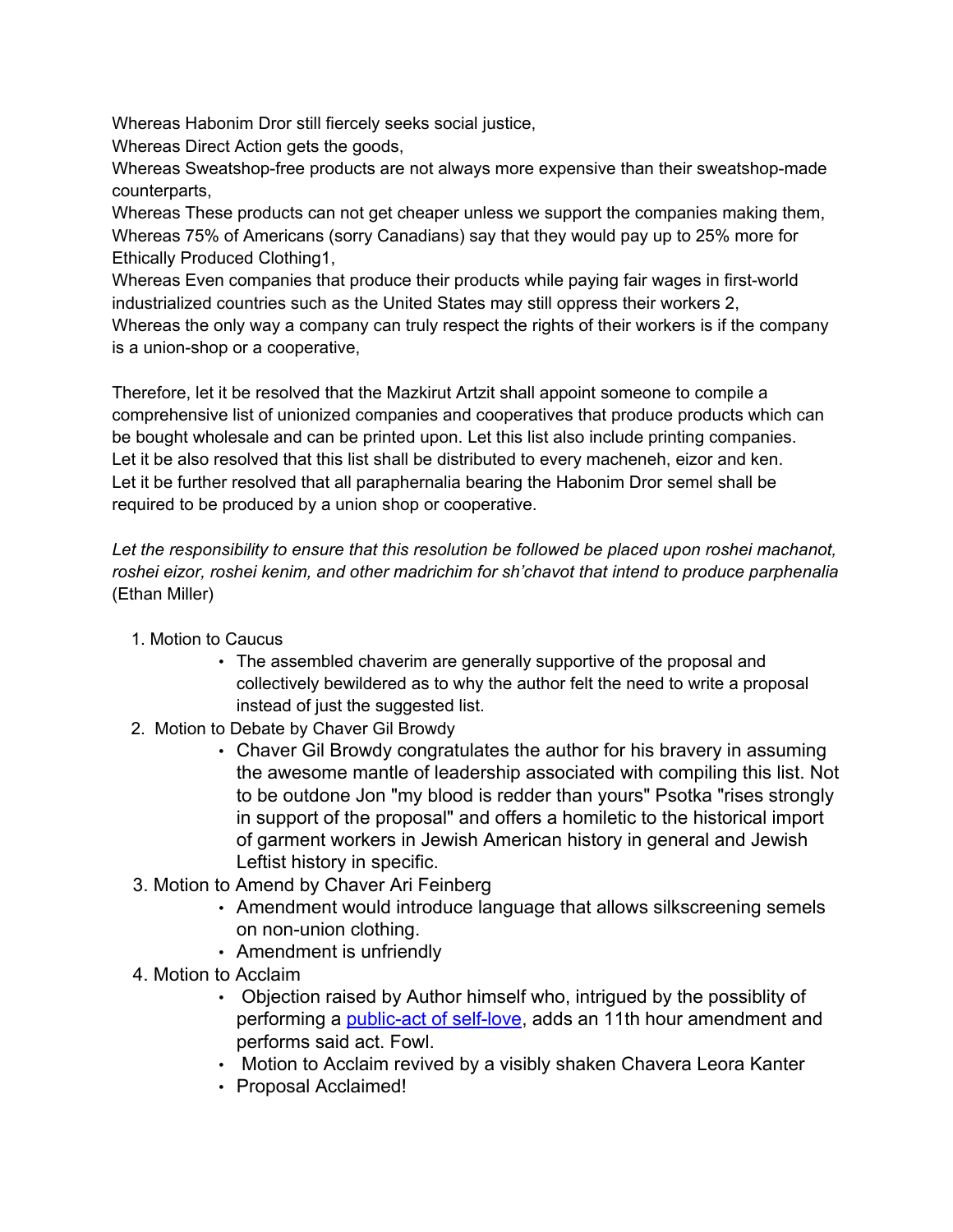Whereas Habonim Dror still fiercely seeks social justice,

Whereas Direct Action gets the goods,

Whereas Sweatshop-free products are not always more expensive than their sweatshop-made counterparts,

Whereas These products can not get cheaper unless we support the companies making them, Whereas 75% of Americans (sorry Canadians) say that they would pay up to 25% more for Ethically Produced Clothing1,

Whereas Even companies that produce their products while paying fair wages in first-world industrialized countries such as the United States may still oppress their workers 2, Whereas the only way a company can truly respect the rights of their workers is if the company is a union-shop or a cooperative,

Therefore, let it be resolved that the Mazkirut Artzit shall appoint someone to compile a comprehensive list of unionized companies and cooperatives that produce products which can be bought wholesale and can be printed upon. Let this list also include printing companies. Let it be also resolved that this list shall be distributed to every macheneh, eizor and ken. Let it be further resolved that all paraphernalia bearing the Habonim Dror semel shall be required to be produced by a union shop or cooperative.

*Let the responsibility to ensure that this resolution be followed be placed upon roshei machanot, roshei eizor, roshei kenim, and other madrichim for sh'chavot that intend to produce parphenalia* (Ethan Miller)

- 1. Motion to Caucus
	- The assembled chaverim are generally supportive of the proposal and collectively bewildered as to why the author felt the need to write a proposal instead of just the suggested list.
- 2. Motion to Debate by Chaver Gil Browdy
	- Chaver Gil Browdy congratulates the author for his bravery in assuming the awesome mantle of leadership associated with compiling this list. Not to be outdone Jon "my blood is redder than yours" Psotka "rises strongly in support of the proposal" and offers a homiletic to the historical import of garment workers in Jewish American history in general and Jewish Leftist history in specific.
- 3. Motion to Amend by Chaver Ari Feinberg
	- Amendment would introduce language that allows silkscreening semels on non-union clothing.
	- Amendment is unfriendly
- 4. Motion to Acclaim
	- Objection raised by Author himself who, intrigued by the possiblity of performing a [public-act of self-love](http://www.texaschapbookpress.com/magellanslog101/probsmodsexuality/contortionist.jpg), adds an 11th hour amendment and performs said act. Fowl.
	- Motion to Acclaim revived by a visibly shaken Chavera Leora Kanter
	- Proposal Acclaimed!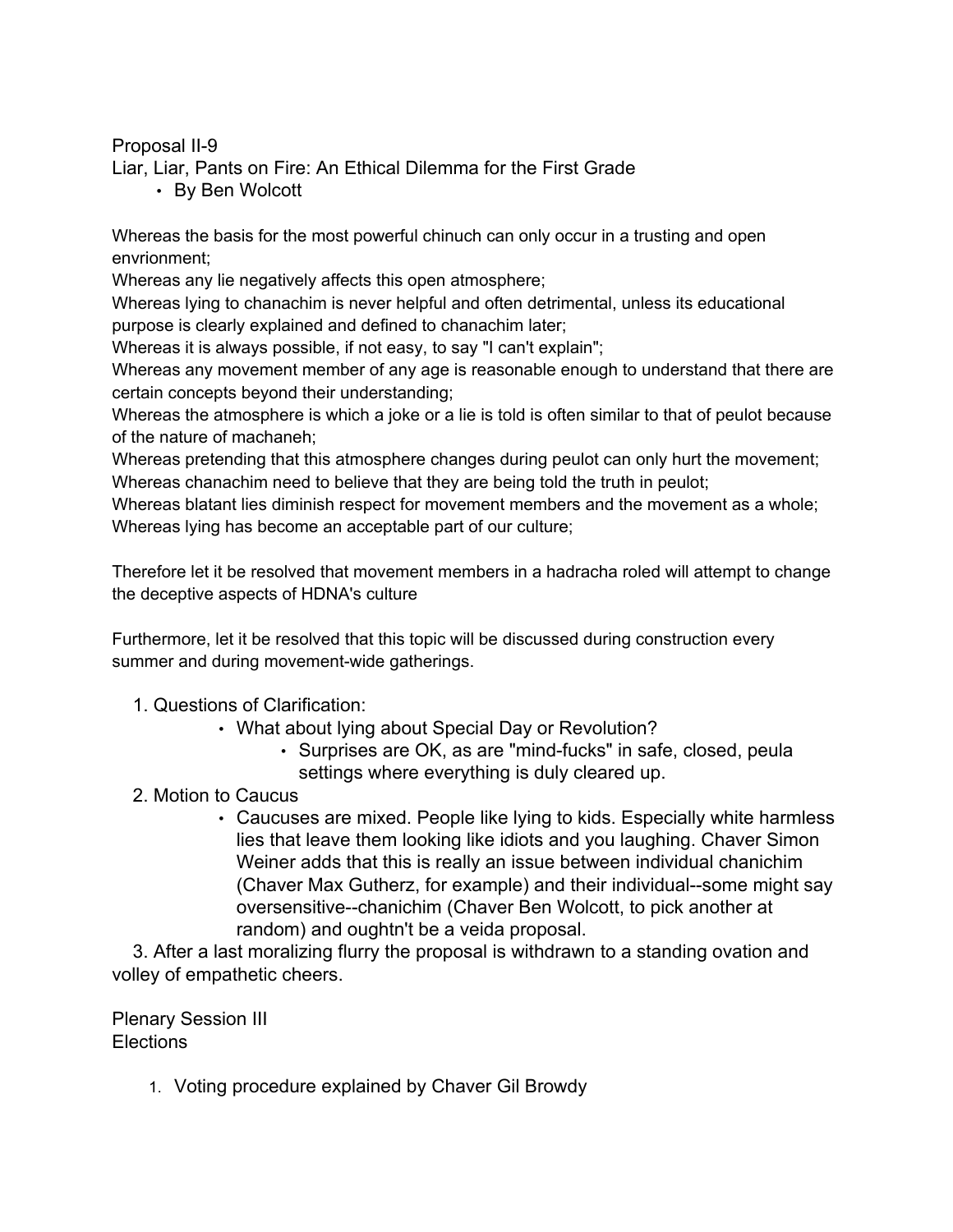Proposal II-9

Liar, Liar, Pants on Fire: An Ethical Dilemma for the First Grade

• By Ben Wolcott

Whereas the basis for the most powerful chinuch can only occur in a trusting and open envrionment;

Whereas any lie negatively affects this open atmosphere;

Whereas lying to chanachim is never helpful and often detrimental, unless its educational purpose is clearly explained and defined to chanachim later;

Whereas it is always possible, if not easy, to say "I can't explain";

Whereas any movement member of any age is reasonable enough to understand that there are certain concepts beyond their understanding;

Whereas the atmosphere is which a joke or a lie is told is often similar to that of peulot because of the nature of machaneh;

Whereas pretending that this atmosphere changes during peulot can only hurt the movement; Whereas chanachim need to believe that they are being told the truth in peulot;

Whereas blatant lies diminish respect for movement members and the movement as a whole; Whereas lying has become an acceptable part of our culture;

Therefore let it be resolved that movement members in a hadracha roled will attempt to change the deceptive aspects of HDNA's culture

Furthermore, let it be resolved that this topic will be discussed during construction every summer and during movement-wide gatherings.

### 1. Questions of Clarification:

- What about lying about Special Day or Revolution?
	- Surprises are OK, as are "mind-fucks" in safe, closed, peula settings where everything is duly cleared up.
- 2. Motion to Caucus
	- Caucuses are mixed. People like lying to kids. Especially white harmless lies that leave them looking like idiots and you laughing. Chaver Simon Weiner adds that this is really an issue between individual chanichim (Chaver Max Gutherz, for example) and their individual--some might say oversensitive--chanichim (Chaver Ben Wolcott, to pick another at random) and oughtn't be a veida proposal.

3. After a last moralizing flurry the proposal is withdrawn to a standing ovation and volley of empathetic cheers.

Plenary Session III Elections

1. Voting procedure explained by Chaver Gil Browdy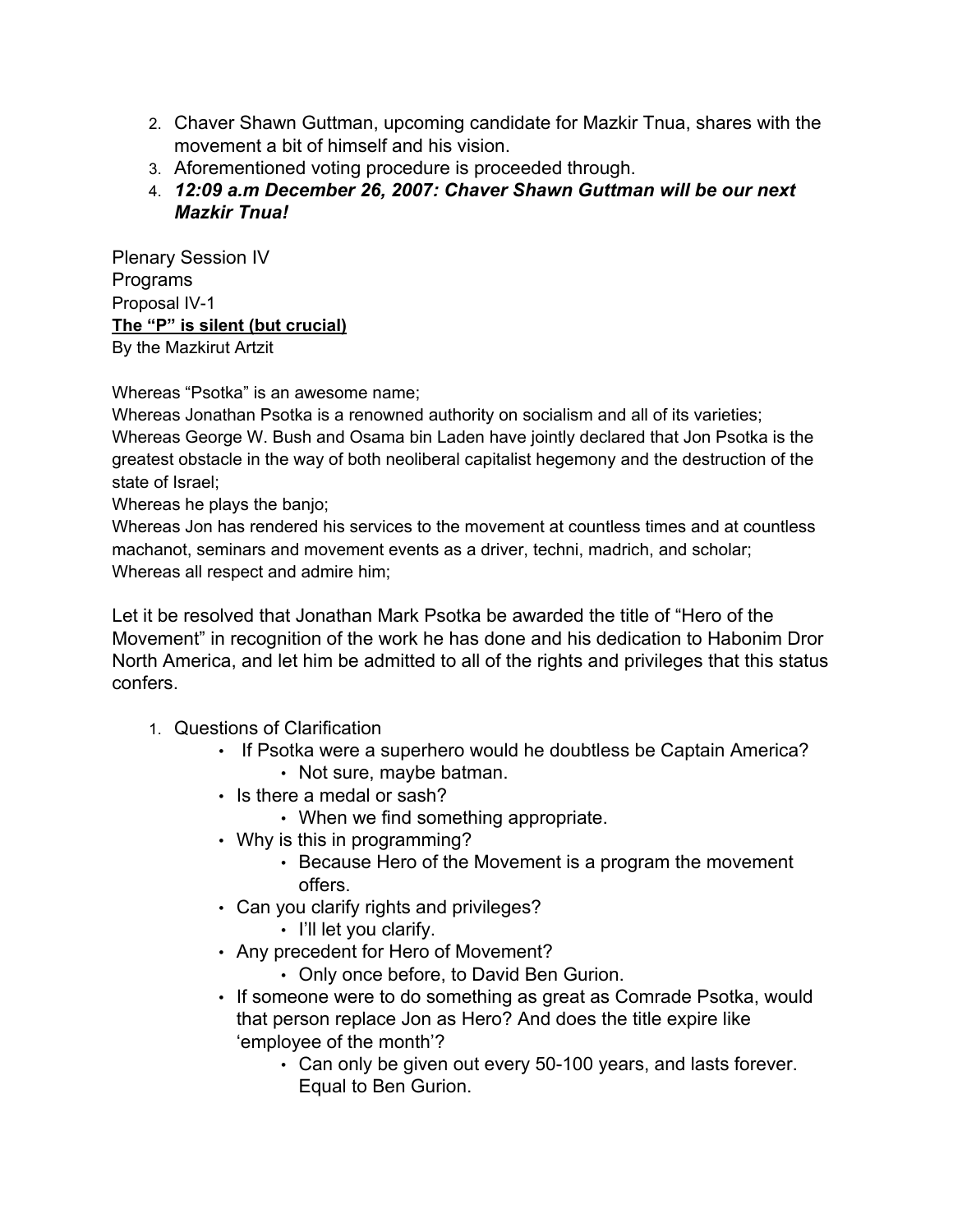- 2. Chaver Shawn Guttman, upcoming candidate for Mazkir Tnua, shares with the movement a bit of himself and his vision.
- 3. Aforementioned voting procedure is proceeded through.
- 4. *12:09 a.m December 26, 2007: Chaver Shawn Guttman will be our next Mazkir Tnua!*

Plenary Session IV Programs Proposal IV-1 **The "P" is silent (but crucial)** By the Mazkirut Artzit

Whereas "Psotka" is an awesome name;

Whereas Jonathan Psotka is a renowned authority on socialism and all of its varieties; Whereas George W. Bush and Osama bin Laden have jointly declared that Jon Psotka is the greatest obstacle in the way of both neoliberal capitalist hegemony and the destruction of the state of Israel;

Whereas he plays the banjo;

Whereas Jon has rendered his services to the movement at countless times and at countless machanot, seminars and movement events as a driver, techni, madrich, and scholar; Whereas all respect and admire him;

Let it be resolved that Jonathan Mark Psotka be awarded the title of "Hero of the Movement" in recognition of the work he has done and his dedication to Habonim Dror North America, and let him be admitted to all of the rights and privileges that this status confers.

- 1. Questions of Clarification
	- If Psotka were a superhero would he doubtless be Captain America? • Not sure, maybe batman.
	- Is there a medal or sash?
		- When we find something appropriate.
	- Why is this in programming?
		- Because Hero of the Movement is a program the movement offers.
	- Can you clarify rights and privileges?
		- I'll let you clarify.
	- Any precedent for Hero of Movement?
		- Only once before, to David Ben Gurion.
	- If someone were to do something as great as Comrade Psotka, would that person replace Jon as Hero? And does the title expire like 'employee of the month'?
		- Can only be given out every 50-100 years, and lasts forever. Equal to Ben Gurion.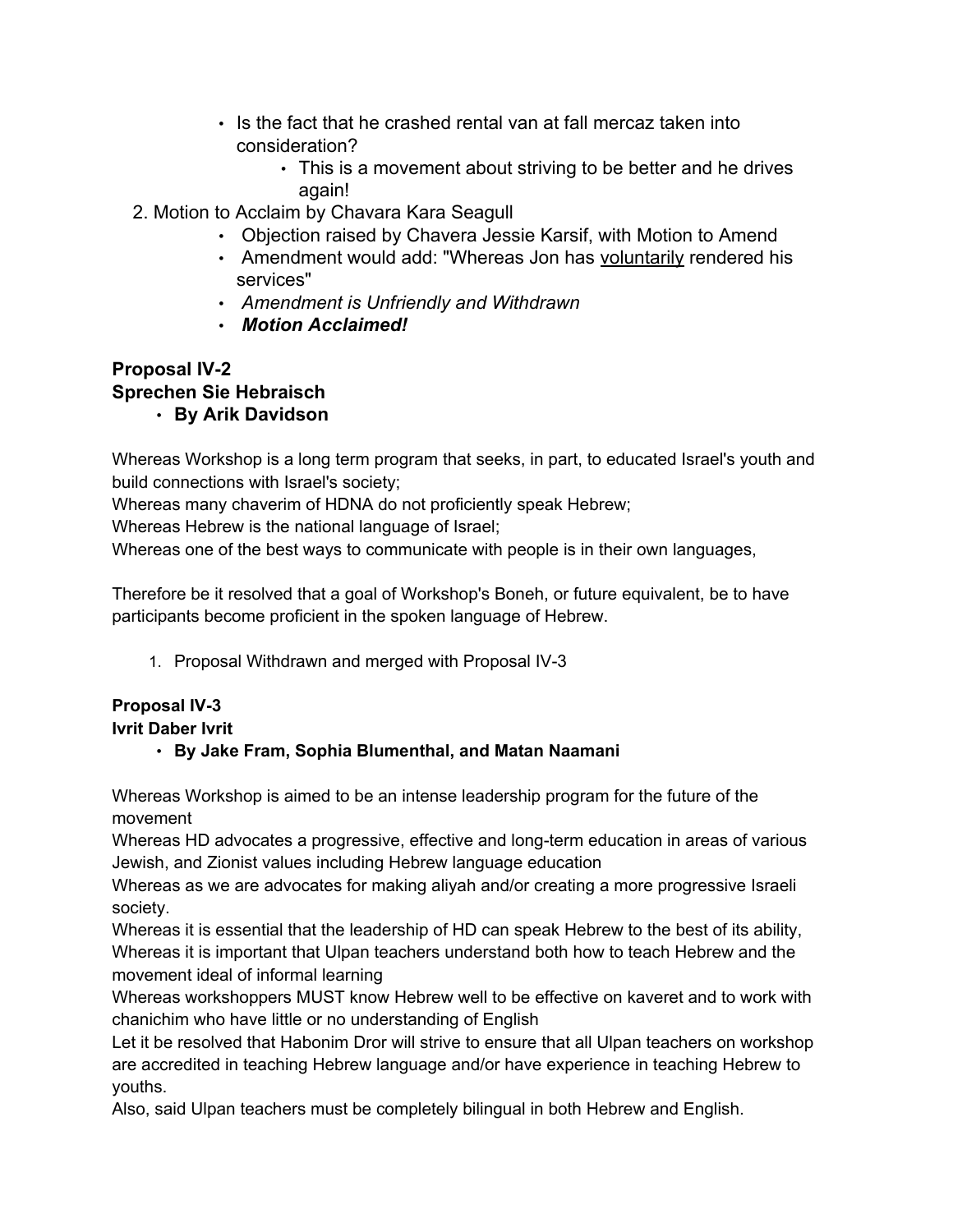- Is the fact that he crashed rental van at fall mercaz taken into consideration?
	- This is a movement about striving to be better and he drives again!
- 2. Motion to Acclaim by Chavara Kara Seagull
	- Objection raised by Chavera Jessie Karsif, with Motion to Amend
	- Amendment would add: "Whereas Jon has voluntarily rendered his services"
	- *Amendment is Unfriendly and Withdrawn*
	- *Motion Acclaimed!*

# **Proposal IV-2 Sprechen Sie Hebraisch**

• **By Arik Davidson**

Whereas Workshop is a long term program that seeks, in part, to educated Israel's youth and build connections with Israel's society;

Whereas many chaverim of HDNA do not proficiently speak Hebrew;

Whereas Hebrew is the national language of Israel;

Whereas one of the best ways to communicate with people is in their own languages,

Therefore be it resolved that a goal of Workshop's Boneh, or future equivalent, be to have participants become proficient in the spoken language of Hebrew.

1. Proposal Withdrawn and merged with Proposal IV-3

# **Proposal IV-3**

### **Ivrit Daber Ivrit**

# • **By Jake Fram, Sophia Blumenthal, and Matan Naamani**

Whereas Workshop is aimed to be an intense leadership program for the future of the movement

Whereas HD advocates a progressive, effective and long-term education in areas of various Jewish, and Zionist values including Hebrew language education

Whereas as we are advocates for making aliyah and/or creating a more progressive Israeli society.

Whereas it is essential that the leadership of HD can speak Hebrew to the best of its ability, Whereas it is important that Ulpan teachers understand both how to teach Hebrew and the movement ideal of informal learning

Whereas workshoppers MUST know Hebrew well to be effective on kaveret and to work with chanichim who have little or no understanding of English

Let it be resolved that Habonim Dror will strive to ensure that all Ulpan teachers on workshop are accredited in teaching Hebrew language and/or have experience in teaching Hebrew to youths.

Also, said Ulpan teachers must be completely bilingual in both Hebrew and English.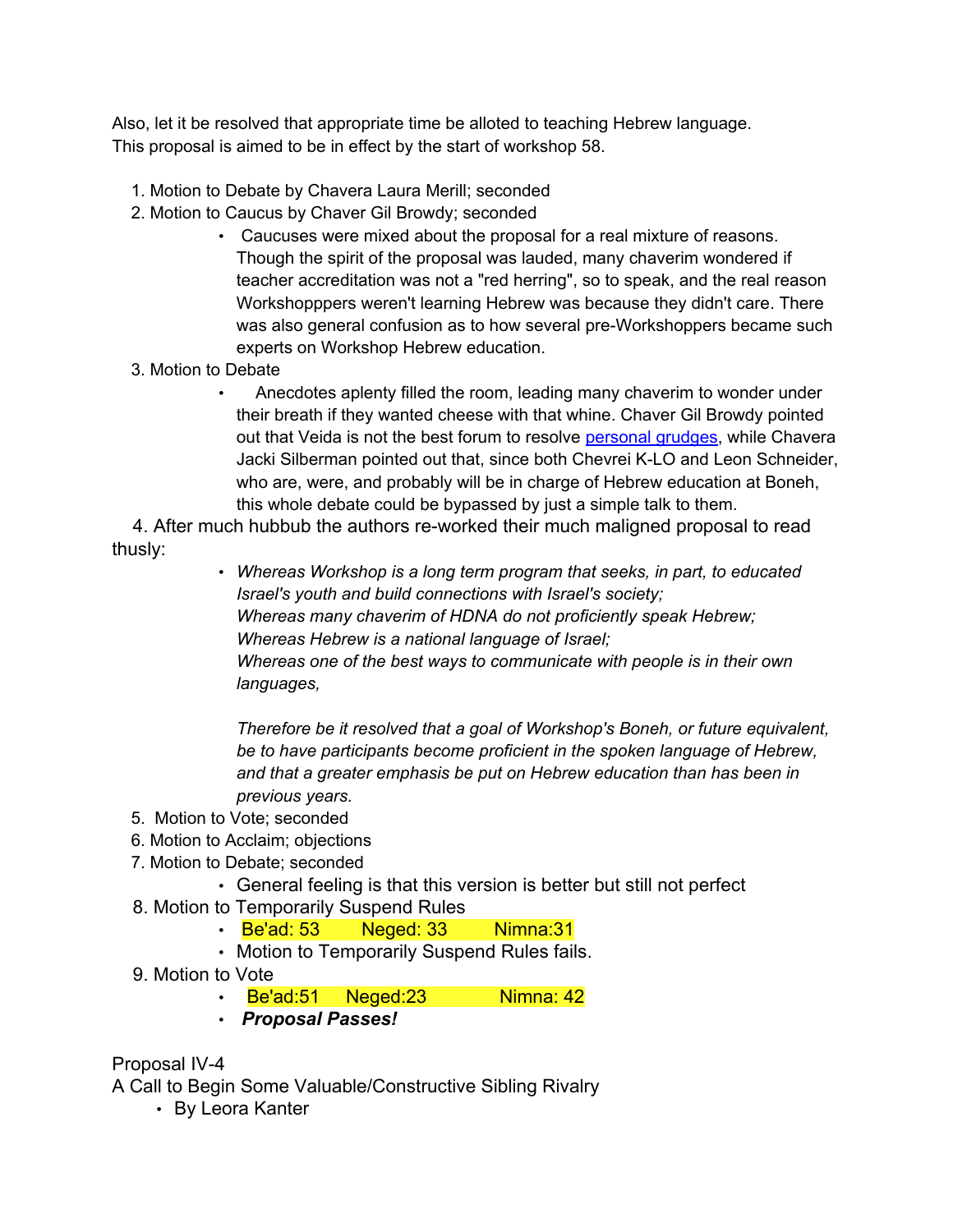Also, let it be resolved that appropriate time be alloted to teaching Hebrew language. This proposal is aimed to be in effect by the start of workshop 58.

- 1. Motion to Debate by Chavera Laura Merill; seconded
- 2. Motion to Caucus by Chaver Gil Browdy; seconded
	- Caucuses were mixed about the proposal for a real mixture of reasons. Though the spirit of the proposal was lauded, many chaverim wondered if teacher accreditation was not a "red herring", so to speak, and the real reason Workshopppers weren't learning Hebrew was because they didn't care. There was also general confusion as to how several pre-Workshoppers became such experts on Workshop Hebrew education.
- 3. Motion to Debate
	- Anecdotes aplenty filled the room, leading many chaverim to wonder under their breath if they wanted cheese with that whine. Chaver Gil Browdy pointed out that Veida is not the best forum to resolve personal grudges, while Chavera Jacki Silberman pointed out that, since both Chevrei K-LO and Leon Schneider, who are, were, and probably will be in charge of Hebrew education at Boneh, this whole debate could be bypassed by just a simple talk to them.

4. After much hubbub the authors re-worked their much maligned proposal to read thusly:

> • *Whereas Workshop is a long term program that seeks, in part, to educated Israel's youth and build connections with Israel's society; Whereas many chaverim of HDNA do not proficiently speak Hebrew; Whereas Hebrew is a national language of Israel; Whereas one of the best ways to communicate with people is in their own languages,*

*Therefore be it resolved that a goal of Workshop's Boneh, or future equivalent, be to have participants become proficient in the spoken language of Hebrew, and that a greater emphasis be put on Hebrew education than has been in previous years.*

- 5. Motion to Vote; seconded
- 6. Motion to Acclaim; objections
- 7. Motion to Debate; seconded
	- General feeling is that this version is better but still not perfect
- 8. Motion to Temporarily Suspend Rules
	- Be'ad: 53 Neged: 33 Nimna: 31
	- Motion to Temporarily Suspend Rules fails.
- 9. Motion to Vote
	- Be'ad:51 Neged:23 Nimna: 42
	- *Proposal Passes!*

Proposal IV-4

A Call to Begin Some Valuable/Constructive Sibling Rivalry

• By Leora Kanter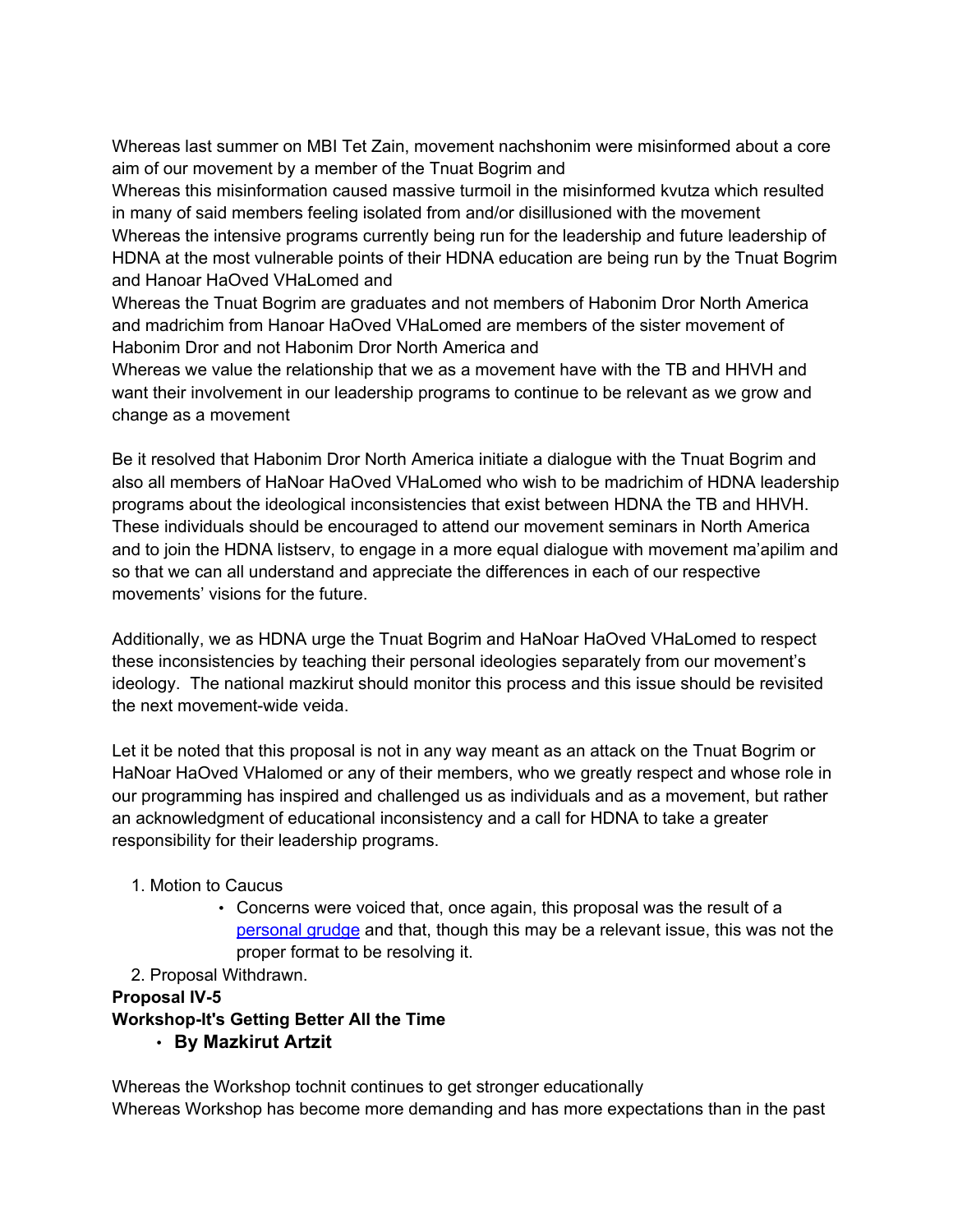Whereas last summer on MBI Tet Zain, movement nachshonim were misinformed about a core aim of our movement by a member of the Tnuat Bogrim and

Whereas this misinformation caused massive turmoil in the misinformed kvutza which resulted in many of said members feeling isolated from and/or disillusioned with the movement Whereas the intensive programs currently being run for the leadership and future leadership of HDNA at the most vulnerable points of their HDNA education are being run by the Tnuat Bogrim and Hanoar HaOved VHaLomed and

Whereas the Tnuat Bogrim are graduates and not members of Habonim Dror North America and madrichim from Hanoar HaOved VHaLomed are members of the sister movement of Habonim Dror and not Habonim Dror North America and

Whereas we value the relationship that we as a movement have with the TB and HHVH and want their involvement in our leadership programs to continue to be relevant as we grow and change as a movement

Be it resolved that Habonim Dror North America initiate a dialogue with the Tnuat Bogrim and also all members of HaNoar HaOved VHaLomed who wish to be madrichim of HDNA leadership programs about the ideological inconsistencies that exist between HDNA the TB and HHVH. These individuals should be encouraged to attend our movement seminars in North America and to join the HDNA listserv, to engage in a more equal dialogue with movement ma'apilim and so that we can all understand and appreciate the differences in each of our respective movements' visions for the future.

Additionally, we as HDNA urge the Tnuat Bogrim and HaNoar HaOved VHaLomed to respect these inconsistencies by teaching their personal ideologies separately from our movement's ideology. The national mazkirut should monitor this process and this issue should be revisited the next movement-wide veida.

Let it be noted that this proposal is not in any way meant as an attack on the Tnuat Bogrim or HaNoar HaOved VHalomed or any of their members, who we greatly respect and whose role in our programming has inspired and challenged us as individuals and as a movement, but rather an acknowledgment of educational inconsistency and a call for HDNA to take a greater responsibility for their leadership programs.

### 1. Motion to Caucus

• Concerns were voiced that, once again, this proposal was the result of a personal grudge and that, though this may be a relevant issue, this was not the proper format to be resolving it.

### 2. Proposal Withdrawn.

### **Proposal IV-5**

**Workshop-It's Getting Better All the Time**

• **By Mazkirut Artzit**

Whereas the Workshop tochnit continues to get stronger educationally Whereas Workshop has become more demanding and has more expectations than in the past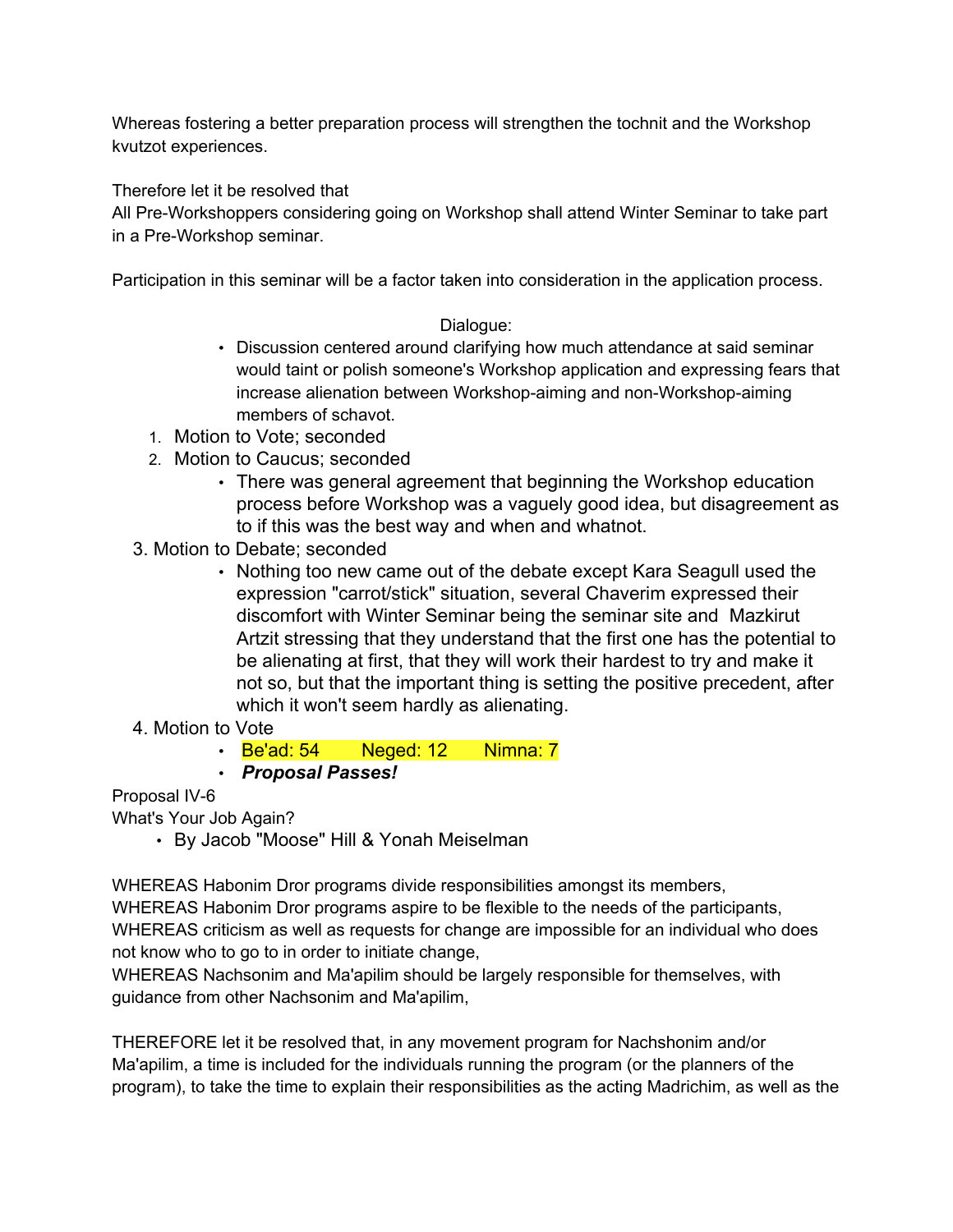Whereas fostering a better preparation process will strengthen the tochnit and the Workshop kvutzot experiences.

Therefore let it be resolved that

All Pre-Workshoppers considering going on Workshop shall attend Winter Seminar to take part in a Pre-Workshop seminar.

Participation in this seminar will be a factor taken into consideration in the application process.

### Dialogue:

- Discussion centered around clarifying how much attendance at said seminar would taint or polish someone's Workshop application and expressing fears that increase alienation between Workshop-aiming and non-Workshop-aiming members of schavot.
- 1. Motion to Vote; seconded
- 2. Motion to Caucus; seconded
	- There was general agreement that beginning the Workshop education process before Workshop was a vaguely good idea, but disagreement as to if this was the best way and when and whatnot.
- 3. Motion to Debate; seconded
	- Nothing too new came out of the debate except Kara Seagull used the expression "carrot/stick" situation, several Chaverim expressed their discomfort with Winter Seminar being the seminar site and Mazkirut Artzit stressing that they understand that the first one has the potential to be alienating at first, that they will work their hardest to try and make it not so, but that the important thing is setting the positive precedent, after which it won't seem hardly as alienating.
- 4. Motion to Vote
	- **Be'ad: 54 Neged: 12 Nimna: 7**
	- *Proposal Passes!*

### Proposal IV-6

What's Your Job Again?

• By Jacob "Moose" Hill & Yonah Meiselman

WHEREAS Habonim Dror programs divide responsibilities amongst its members, WHEREAS Habonim Dror programs aspire to be flexible to the needs of the participants, WHEREAS criticism as well as requests for change are impossible for an individual who does not know who to go to in order to initiate change,

WHEREAS Nachsonim and Ma'apilim should be largely responsible for themselves, with guidance from other Nachsonim and Ma'apilim,

THEREFORE let it be resolved that, in any movement program for Nachshonim and/or Ma'apilim, a time is included for the individuals running the program (or the planners of the program), to take the time to explain their responsibilities as the acting Madrichim, as well as the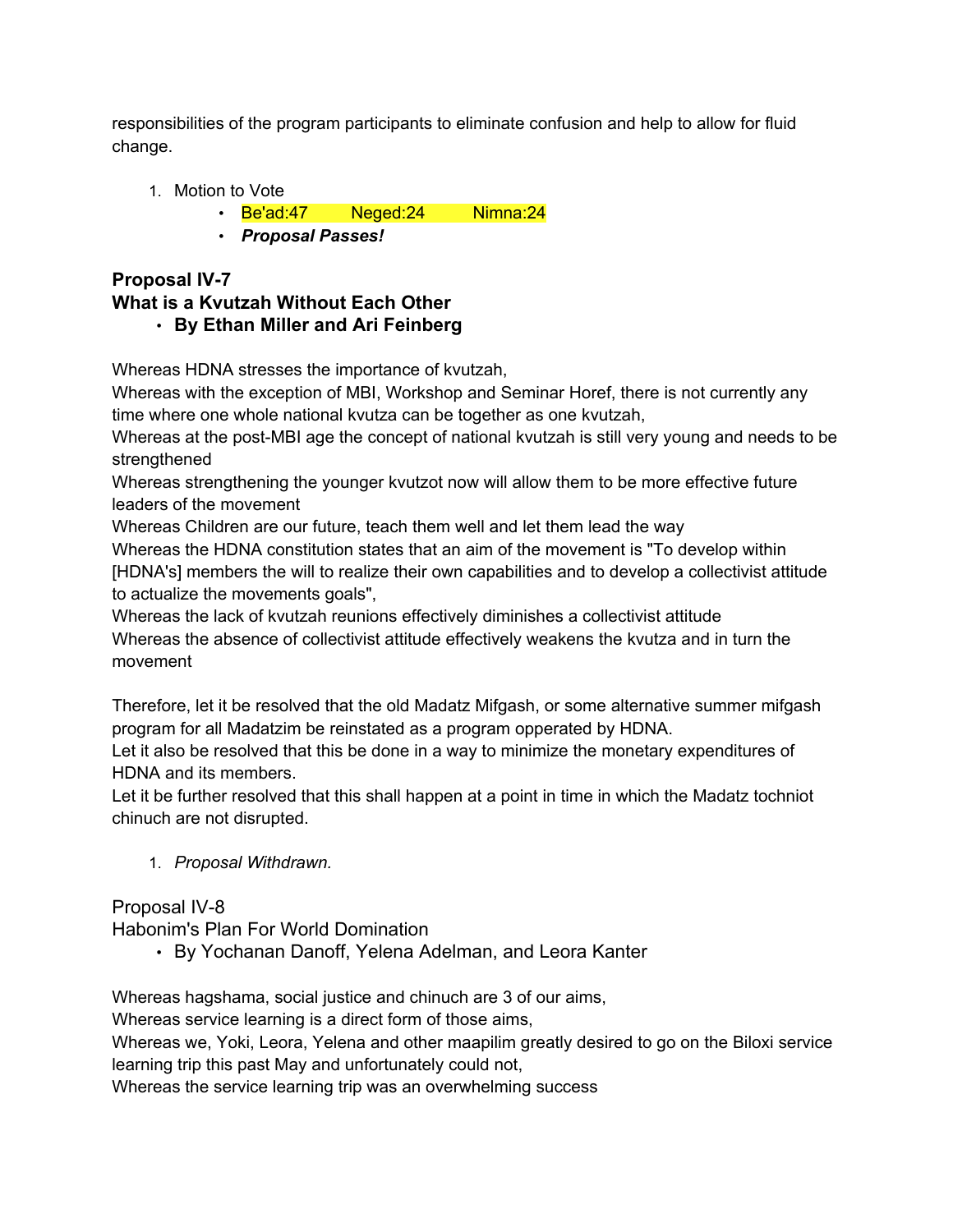responsibilities of the program participants to eliminate confusion and help to allow for fluid change.

- 1. Motion to Vote
	- Be'ad:47 Neged:24 Nimna:24
	- *Proposal Passes!*

### **Proposal IV-7 What is a Kvutzah Without Each Other** • **By Ethan Miller and Ari Feinberg**

Whereas HDNA stresses the importance of kvutzah,

Whereas with the exception of MBI, Workshop and Seminar Horef, there is not currently any time where one whole national kvutza can be together as one kvutzah,

Whereas at the post-MBI age the concept of national kvutzah is still very young and needs to be strengthened

Whereas strengthening the younger kvutzot now will allow them to be more effective future leaders of the movement

Whereas Children are our future, teach them well and let them lead the way

Whereas the HDNA constitution states that an aim of the movement is "To develop within [HDNA's] members the will to realize their own capabilities and to develop a collectivist attitude to actualize the movements goals",

Whereas the lack of kvutzah reunions effectively diminishes a collectivist attitude Whereas the absence of collectivist attitude effectively weakens the kvutza and in turn the movement

Therefore, let it be resolved that the old Madatz Mifgash, or some alternative summer mifgash program for all Madatzim be reinstated as a program opperated by HDNA.

Let it also be resolved that this be done in a way to minimize the monetary expenditures of HDNA and its members.

Let it be further resolved that this shall happen at a point in time in which the Madatz tochniot chinuch are not disrupted.

1. *Proposal Withdrawn.*

Proposal IV-8

Habonim's Plan For World Domination

• By Yochanan Danoff, Yelena Adelman, and Leora Kanter

Whereas hagshama, social justice and chinuch are 3 of our aims,

Whereas service learning is a direct form of those aims,

Whereas we, Yoki, Leora, Yelena and other maapilim greatly desired to go on the Biloxi service learning trip this past May and unfortunately could not,

Whereas the service learning trip was an overwhelming success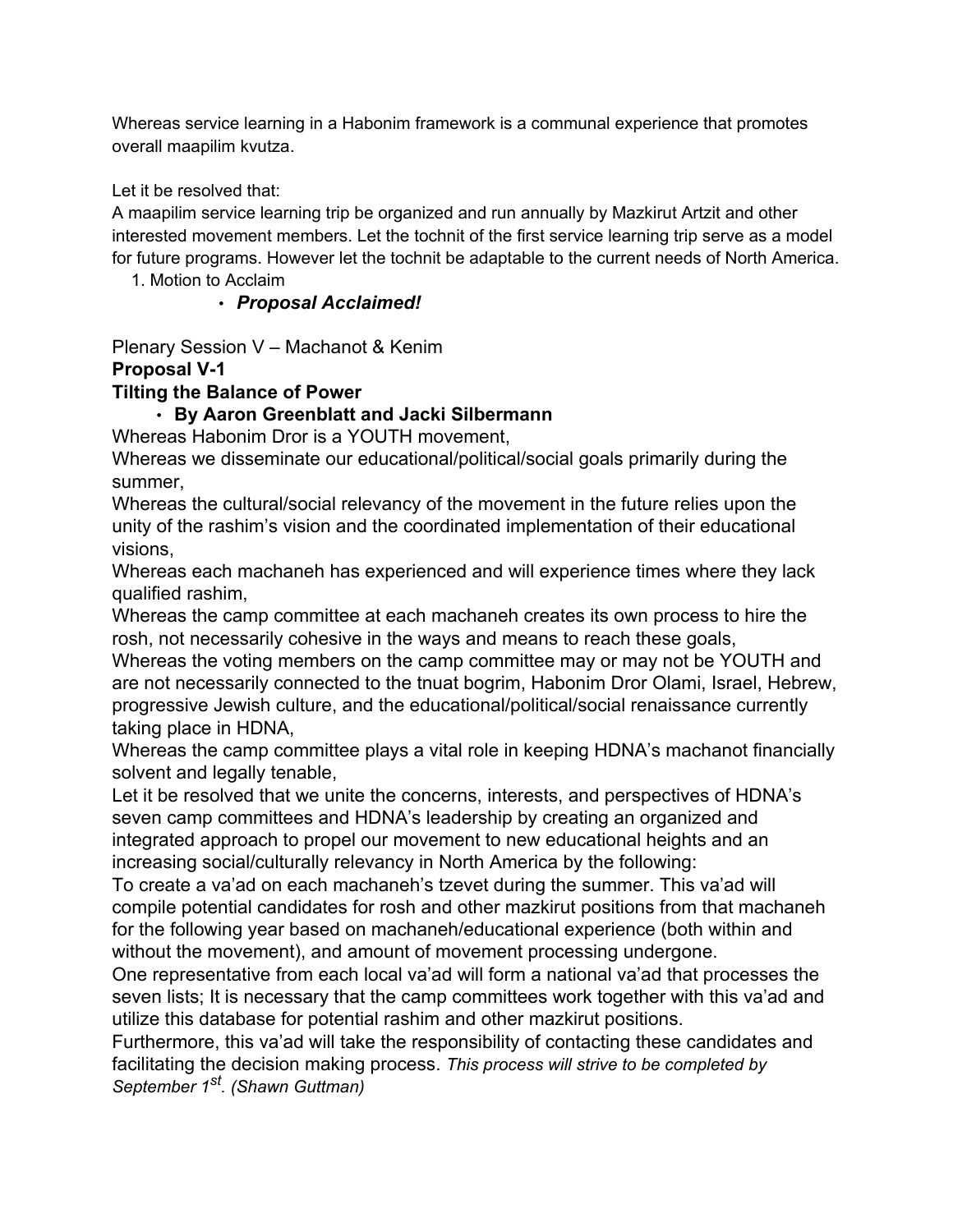Whereas service learning in a Habonim framework is a communal experience that promotes overall maapilim kvutza.

Let it be resolved that:

A maapilim service learning trip be organized and run annually by Mazkirut Artzit and other interested movement members. Let the tochnit of the first service learning trip serve as a model for future programs. However let the tochnit be adaptable to the current needs of North America.

1. Motion to Acclaim

### • *Proposal Acclaimed!*

Plenary Session V – Machanot & Kenim

### **Proposal V-1**

### **Tilting the Balance of Power**

### • **By Aaron Greenblatt and Jacki Silbermann**

Whereas Habonim Dror is a YOUTH movement,

Whereas we disseminate our educational/political/social goals primarily during the summer,

Whereas the cultural/social relevancy of the movement in the future relies upon the unity of the rashim's vision and the coordinated implementation of their educational visions,

Whereas each machaneh has experienced and will experience times where they lack qualified rashim,

Whereas the camp committee at each machaneh creates its own process to hire the rosh, not necessarily cohesive in the ways and means to reach these goals,

Whereas the voting members on the camp committee may or may not be YOUTH and are not necessarily connected to the tnuat bogrim, Habonim Dror Olami, Israel, Hebrew, progressive Jewish culture, and the educational/political/social renaissance currently taking place in HDNA,

Whereas the camp committee plays a vital role in keeping HDNA's machanot financially solvent and legally tenable,

Let it be resolved that we unite the concerns, interests, and perspectives of HDNA's seven camp committees and HDNA's leadership by creating an organized and integrated approach to propel our movement to new educational heights and an increasing social/culturally relevancy in North America by the following:

To create a va'ad on each machaneh's tzevet during the summer. This va'ad will compile potential candidates for rosh and other mazkirut positions from that machaneh for the following year based on machaneh/educational experience (both within and without the movement), and amount of movement processing undergone.

One representative from each local va'ad will form a national va'ad that processes the seven lists; It is necessary that the camp committees work together with this va'ad and utilize this database for potential rashim and other mazkirut positions.

Furthermore, this va'ad will take the responsibility of contacting these candidates and facilitating the decision making process. *This process will strive to be completed by September 1st. (Shawn Guttman)*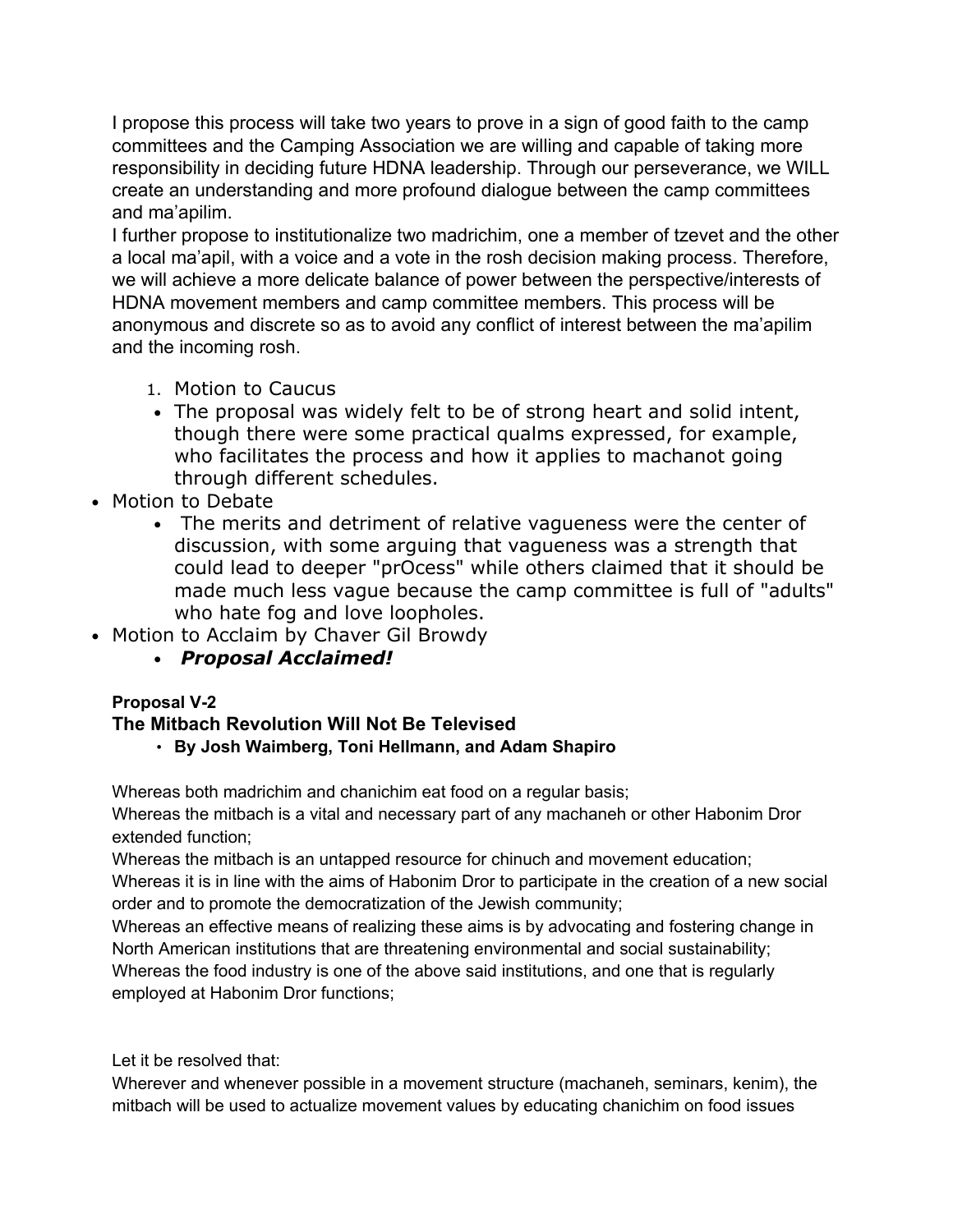I propose this process will take two years to prove in a sign of good faith to the camp committees and the Camping Association we are willing and capable of taking more responsibility in deciding future HDNA leadership. Through our perseverance, we WILL create an understanding and more profound dialogue between the camp committees and ma'apilim.

I further propose to institutionalize two madrichim, one a member of tzevet and the other a local ma'apil, with a voice and a vote in the rosh decision making process. Therefore, we will achieve a more delicate balance of power between the perspective/interests of HDNA movement members and camp committee members. This process will be anonymous and discrete so as to avoid any conflict of interest between the ma'apilim and the incoming rosh.

- 1. Motion to Caucus
- The proposal was widely felt to be of strong heart and solid intent, though there were some practical qualms expressed, for example, who facilitates the process and how it applies to machanot going through different schedules.
- Motion to Debate
	- The merits and detriment of relative vagueness were the center of discussion, with some arguing that vagueness was a strength that could lead to deeper "prOcess" while others claimed that it should be made much less vague because the camp committee is full of "adults" who hate fog and love loopholes.
- Motion to Acclaim by Chaver Gil Browdy
	- *Proposal Acclaimed!*

### **Proposal V-2**

### **The Mitbach Revolution Will Not Be Televised**

• **By Josh Waimberg, Toni Hellmann, and Adam Shapiro**

Whereas both madrichim and chanichim eat food on a regular basis;

Whereas the mitbach is a vital and necessary part of any machaneh or other Habonim Dror extended function;

Whereas the mitbach is an untapped resource for chinuch and movement education;

Whereas it is in line with the aims of Habonim Dror to participate in the creation of a new social order and to promote the democratization of the Jewish community;

Whereas an effective means of realizing these aims is by advocating and fostering change in North American institutions that are threatening environmental and social sustainability; Whereas the food industry is one of the above said institutions, and one that is regularly employed at Habonim Dror functions;

Let it be resolved that:

Wherever and whenever possible in a movement structure (machaneh, seminars, kenim), the mitbach will be used to actualize movement values by educating chanichim on food issues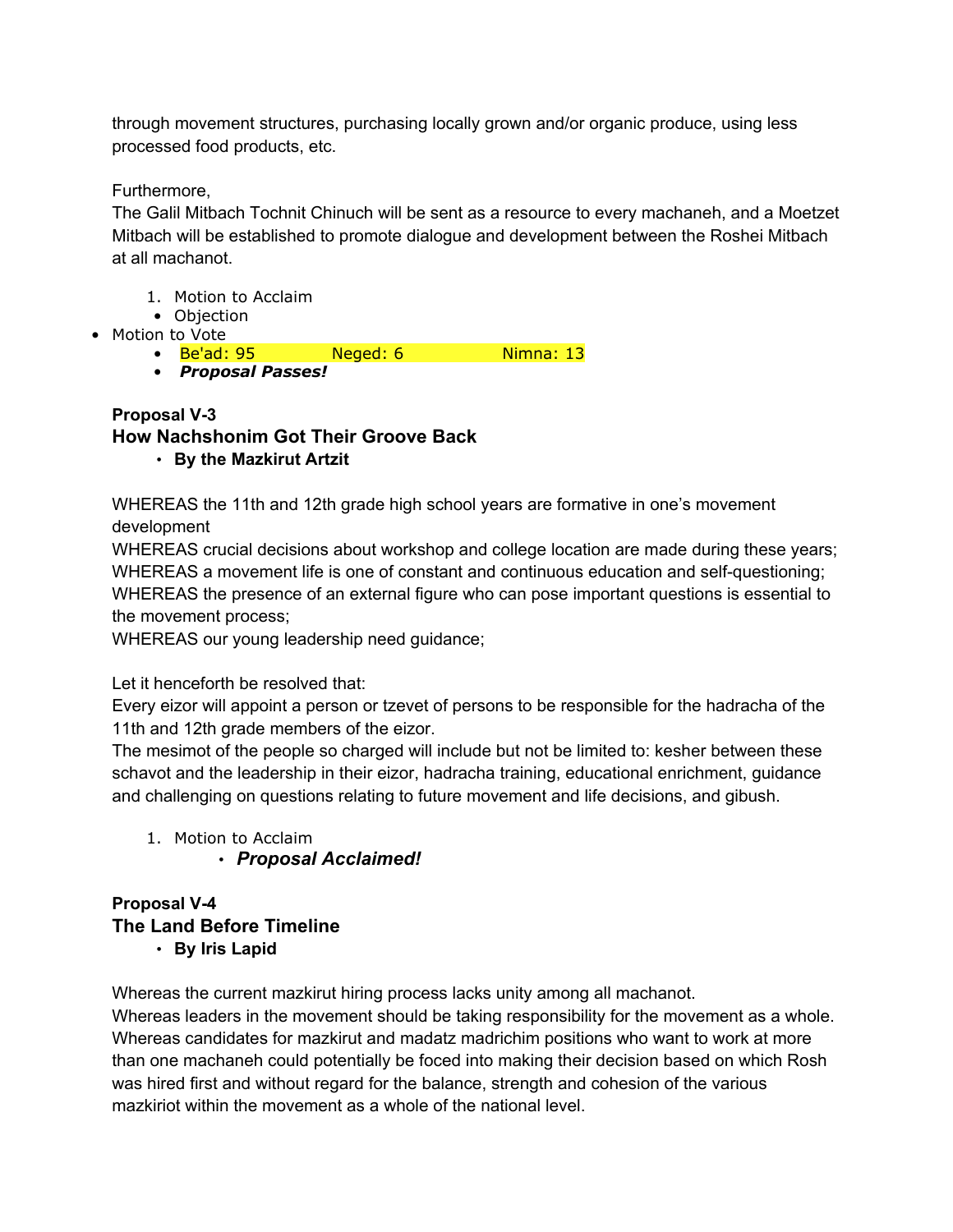through movement structures, purchasing locally grown and/or organic produce, using less processed food products, etc.

Furthermore,

The Galil Mitbach Tochnit Chinuch will be sent as a resource to every machaneh, and a Moetzet Mitbach will be established to promote dialogue and development between the Roshei Mitbach at all machanot.

- 1. Motion to Acclaim
- Objection
- Motion to Vote
	- Be'ad: 95 Neged: 6 Nimna: 13
	- *Proposal Passes!*

#### **Proposal V-3 How Nachshonim Got Their Groove Back** • **By the Mazkirut Artzit**

WHEREAS the 11th and 12th grade high school years are formative in one's movement development

WHEREAS crucial decisions about workshop and college location are made during these years; WHEREAS a movement life is one of constant and continuous education and self-questioning; WHEREAS the presence of an external figure who can pose important questions is essential to the movement process;

WHEREAS our young leadership need guidance;

### Let it henceforth be resolved that:

Every eizor will appoint a person or tzevet of persons to be responsible for the hadracha of the 11th and 12th grade members of the eizor.

The mesimot of the people so charged will include but not be limited to: kesher between these schavot and the leadership in their eizor, hadracha training, educational enrichment, guidance and challenging on questions relating to future movement and life decisions, and gibush.

- 1. Motion to Acclaim
	- *Proposal Acclaimed!*

### **Proposal V-4 The Land Before Timeline** • **By Iris Lapid**

Whereas the current mazkirut hiring process lacks unity among all machanot.

Whereas leaders in the movement should be taking responsibility for the movement as a whole. Whereas candidates for mazkirut and madatz madrichim positions who want to work at more than one machaneh could potentially be foced into making their decision based on which Rosh was hired first and without regard for the balance, strength and cohesion of the various mazkiriot within the movement as a whole of the national level.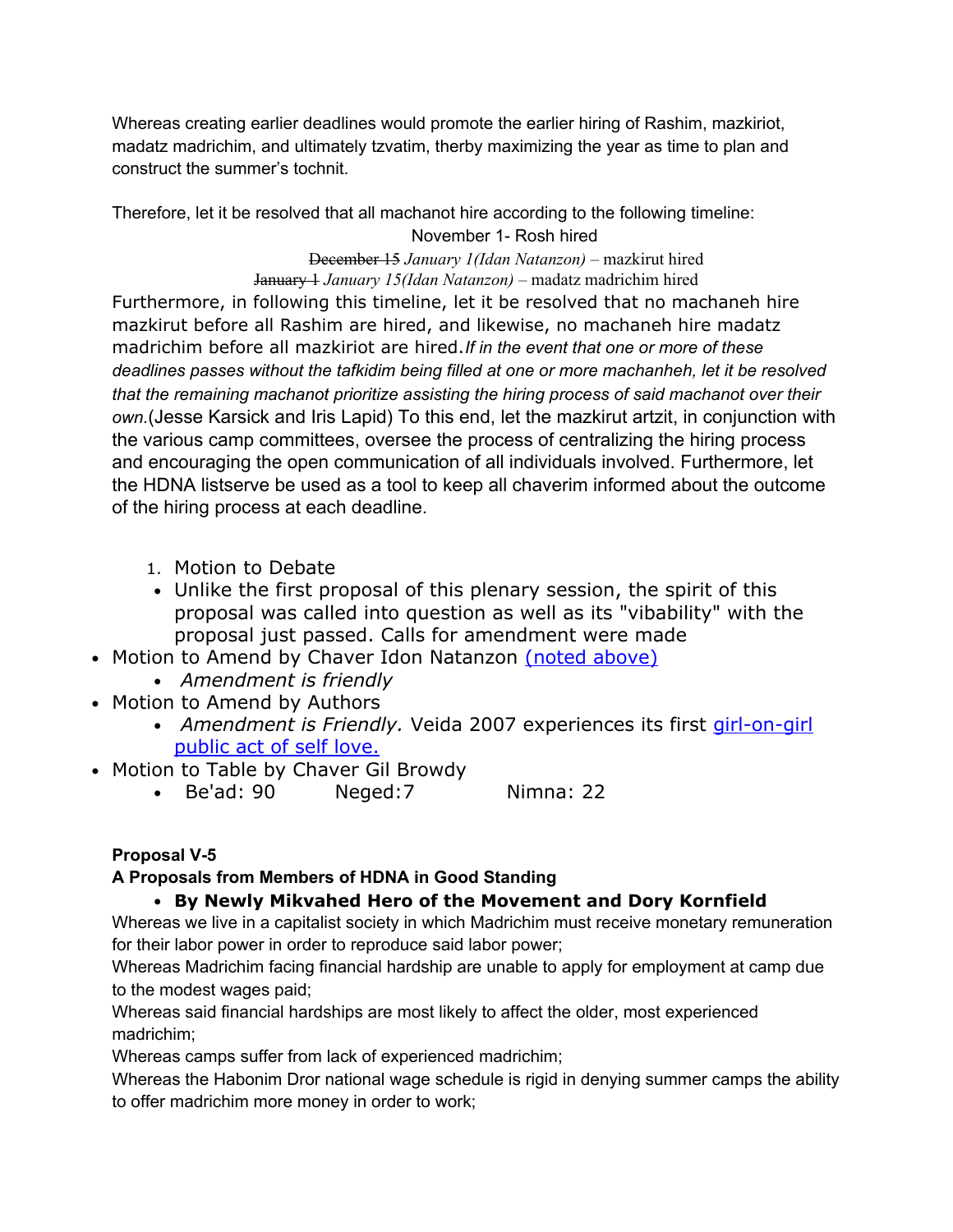Whereas creating earlier deadlines would promote the earlier hiring of Rashim, mazkiriot, madatz madrichim, and ultimately tzvatim, therby maximizing the year as time to plan and construct the summer's tochnit.

Therefore, let it be resolved that all machanot hire according to the following timeline: November 1- Rosh hired

> December 15 *January 1(Idan Natanzon)* – mazkirut hired January 1 *January 15(Idan Natanzon)* – madatz madrichim hired

Furthermore, in following this timeline, let it be resolved that no machaneh hire mazkirut before all Rashim are hired, and likewise, no machaneh hire madatz madrichim before all mazkiriot are hired.*If in the event that one or more of these deadlines passes without the tafkidim being filled at one or more machanheh, let it be resolved that the remaining machanot prioritize assisting the hiring process of said machanot over their own.*(Jesse Karsick and Iris Lapid) To this end, let the mazkirut artzit, in conjunction with the various camp committees, oversee the process of centralizing the hiring process and encouraging the open communication of all individuals involved. Furthermore, let the HDNA listserve be used as a tool to keep all chaverim informed about the outcome of the hiring process at each deadline.

- 1. Motion to Debate
- Unlike the first proposal of this plenary session, the spirit of this proposal was called into question as well as its "vibability" with the proposal just passed. Calls for amendment were made
- Motion to Amend by Chaver Idon Natanzon (noted above)
	- *Amendment is friendly*
- Motion to Amend by Authors
	- *Amendment is Friendly.* Veida 2007 experiences its first *[girl-on-girl](http://www.theage.com.au/ffxImage/urlpicture_id_1044725714123_2003/02/10/tatu1.jpg)* [public act of self love.](http://www.theage.com.au/ffxImage/urlpicture_id_1044725714123_2003/02/10/tatu1.jpg)
- Motion to Table by Chaver Gil Browdy
	- Be'ad: 90 Neged:7 Nimna: 22

### **Proposal V-5**

### **A Proposals from Members of HDNA in Good Standing**

### • **By Newly Mikvahed Hero of the Movement and Dory Kornfield**

Whereas we live in a capitalist society in which Madrichim must receive monetary remuneration for their labor power in order to reproduce said labor power;

Whereas Madrichim facing financial hardship are unable to apply for employment at camp due to the modest wages paid;

Whereas said financial hardships are most likely to affect the older, most experienced madrichim;

Whereas camps suffer from lack of experienced madrichim;

Whereas the Habonim Dror national wage schedule is rigid in denying summer camps the ability to offer madrichim more money in order to work;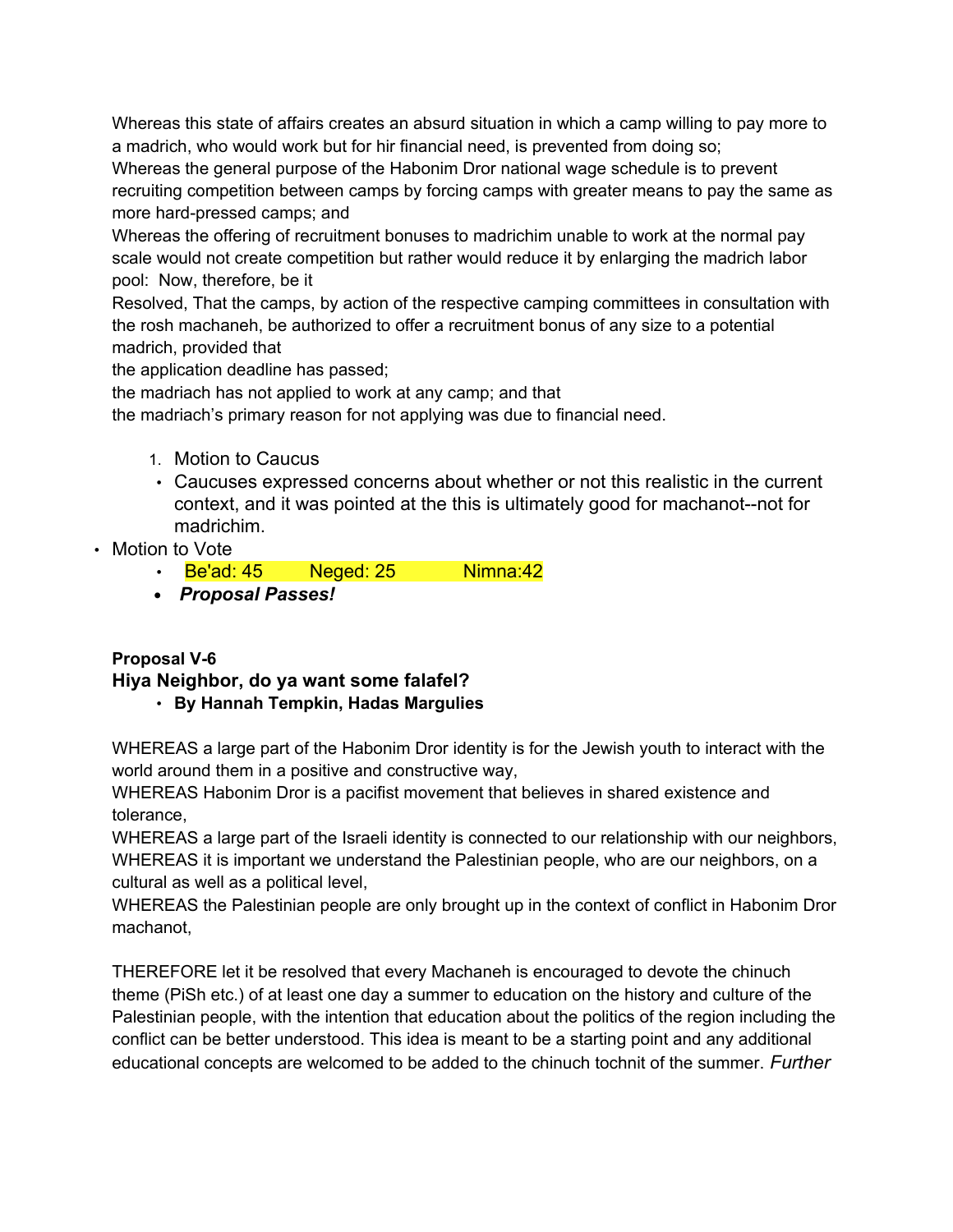Whereas this state of affairs creates an absurd situation in which a camp willing to pay more to a madrich, who would work but for hir financial need, is prevented from doing so;

Whereas the general purpose of the Habonim Dror national wage schedule is to prevent recruiting competition between camps by forcing camps with greater means to pay the same as more hard-pressed camps; and

Whereas the offering of recruitment bonuses to madrichim unable to work at the normal pay scale would not create competition but rather would reduce it by enlarging the madrich labor pool: Now, therefore, be it

Resolved, That the camps, by action of the respective camping committees in consultation with the rosh machaneh, be authorized to offer a recruitment bonus of any size to a potential madrich, provided that

the application deadline has passed;

the madriach has not applied to work at any camp; and that

the madriach's primary reason for not applying was due to financial need.

- 1. Motion to Caucus
- Caucuses expressed concerns about whether or not this realistic in the current context, and it was pointed at the this is ultimately good for machanot--not for madrichim.
- Motion to Vote
	- Be'ad: 45 Neged: 25 Nimna: 42
	- *Proposal Passes!*

#### **Proposal V-6 Hiya Neighbor, do ya want some falafel?** • **By Hannah Tempkin, Hadas Margulies**

WHEREAS a large part of the Habonim Dror identity is for the Jewish youth to interact with the world around them in a positive and constructive way,

WHEREAS Habonim Dror is a pacifist movement that believes in shared existence and tolerance,

WHEREAS a large part of the Israeli identity is connected to our relationship with our neighbors, WHEREAS it is important we understand the Palestinian people, who are our neighbors, on a cultural as well as a political level,

WHEREAS the Palestinian people are only brought up in the context of conflict in Habonim Dror machanot,

THEREFORE let it be resolved that every Machaneh is encouraged to devote the chinuch theme (PiSh etc.) of at least one day a summer to education on the history and culture of the Palestinian people, with the intention that education about the politics of the region including the conflict can be better understood. This idea is meant to be a starting point and any additional educational concepts are welcomed to be added to the chinuch tochnit of the summer. *Further*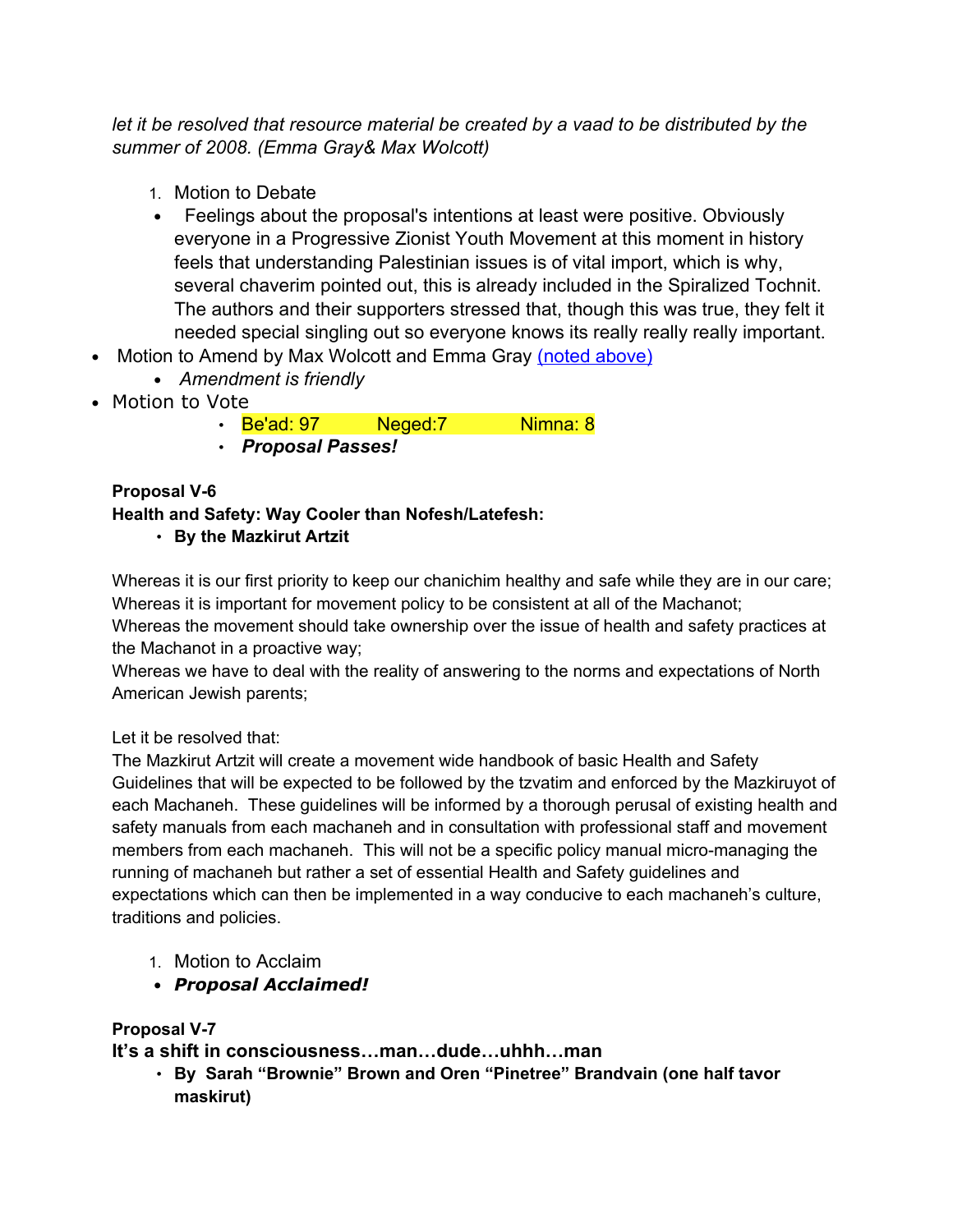*let it be resolved that resource material be created by a vaad to be distributed by the summer of 2008. (Emma Gray& Max Wolcott)*

- 1. Motion to Debate
- Feelings about the proposal's intentions at least were positive. Obviously everyone in a Progressive Zionist Youth Movement at this moment in history feels that understanding Palestinian issues is of vital import, which is why, several chaverim pointed out, this is already included in the Spiralized Tochnit. The authors and their supporters stressed that, though this was true, they felt it needed special singling out so everyone knows its really really really important.
- Motion to Amend by Max Wolcott and Emma Gray (noted above)
	- *Amendment is friendly*
- Motion to Vote
	- Be'ad: 97 Neged: 7 Nimna: 8
	- *Proposal Passes!*

#### **Proposal V-6 Health and Safety: Way Cooler than Nofesh/Latefesh:** • **By the Mazkirut Artzit**

Whereas it is our first priority to keep our chanichim healthy and safe while they are in our care; Whereas it is important for movement policy to be consistent at all of the Machanot; Whereas the movement should take ownership over the issue of health and safety practices at the Machanot in a proactive way;

Whereas we have to deal with the reality of answering to the norms and expectations of North American Jewish parents;

Let it be resolved that:

The Mazkirut Artzit will create a movement wide handbook of basic Health and Safety Guidelines that will be expected to be followed by the tzvatim and enforced by the Mazkiruyot of each Machaneh. These guidelines will be informed by a thorough perusal of existing health and safety manuals from each machaneh and in consultation with professional staff and movement members from each machaneh. This will not be a specific policy manual micro-managing the running of machaneh but rather a set of essential Health and Safety guidelines and expectations which can then be implemented in a way conducive to each machaneh's culture, traditions and policies.

- 1. Motion to Acclaim
- *Proposal Acclaimed!*

### **Proposal V-7**

**It's a shift in consciousness…man…dude…uhhh…man**

• **By Sarah "Brownie" Brown and Oren "Pinetree" Brandvain (one half tavor maskirut)**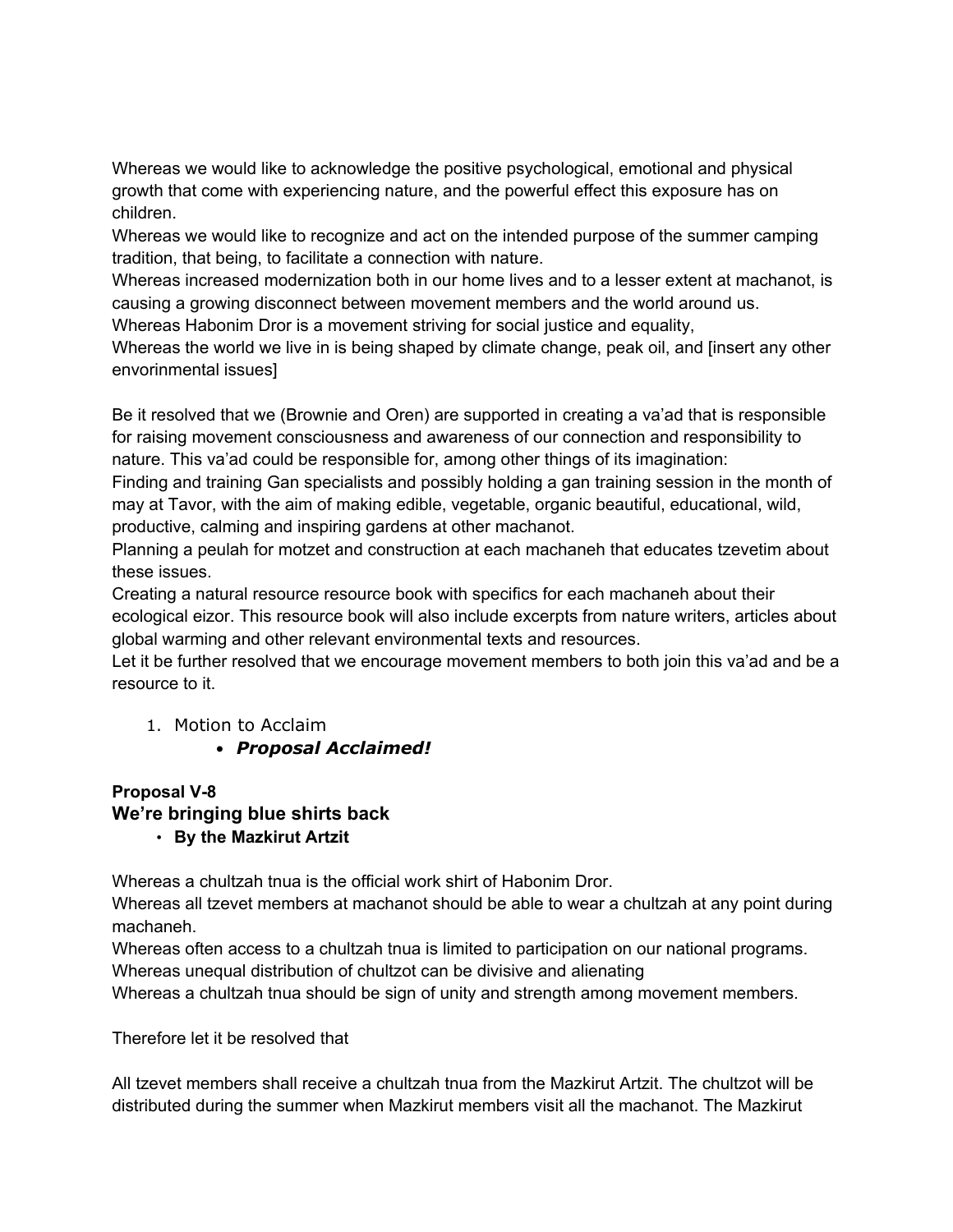Whereas we would like to acknowledge the positive psychological, emotional and physical growth that come with experiencing nature, and the powerful effect this exposure has on children.

Whereas we would like to recognize and act on the intended purpose of the summer camping tradition, that being, to facilitate a connection with nature.

Whereas increased modernization both in our home lives and to a lesser extent at machanot, is causing a growing disconnect between movement members and the world around us.

Whereas Habonim Dror is a movement striving for social justice and equality,

Whereas the world we live in is being shaped by climate change, peak oil, and [insert any other envorinmental issues]

Be it resolved that we (Brownie and Oren) are supported in creating a va'ad that is responsible for raising movement consciousness and awareness of our connection and responsibility to nature. This va'ad could be responsible for, among other things of its imagination:

Finding and training Gan specialists and possibly holding a gan training session in the month of may at Tavor, with the aim of making edible, vegetable, organic beautiful, educational, wild, productive, calming and inspiring gardens at other machanot.

Planning a peulah for motzet and construction at each machaneh that educates tzevetim about these issues.

Creating a natural resource resource book with specifics for each machaneh about their ecological eizor. This resource book will also include excerpts from nature writers, articles about global warming and other relevant environmental texts and resources.

Let it be further resolved that we encourage movement members to both join this va'ad and be a resource to it.

### 1. Motion to Acclaim

### • *Proposal Acclaimed!*

#### **Proposal V-8 We're bringing blue shirts back** • **By the Mazkirut Artzit**

Whereas a chultzah tnua is the official work shirt of Habonim Dror.

Whereas all tzevet members at machanot should be able to wear a chultzah at any point during machaneh.

Whereas often access to a chultzah tnua is limited to participation on our national programs. Whereas unequal distribution of chultzot can be divisive and alienating

Whereas a chultzah tnua should be sign of unity and strength among movement members.

Therefore let it be resolved that

All tzevet members shall receive a chultzah tnua from the Mazkirut Artzit. The chultzot will be distributed during the summer when Mazkirut members visit all the machanot. The Mazkirut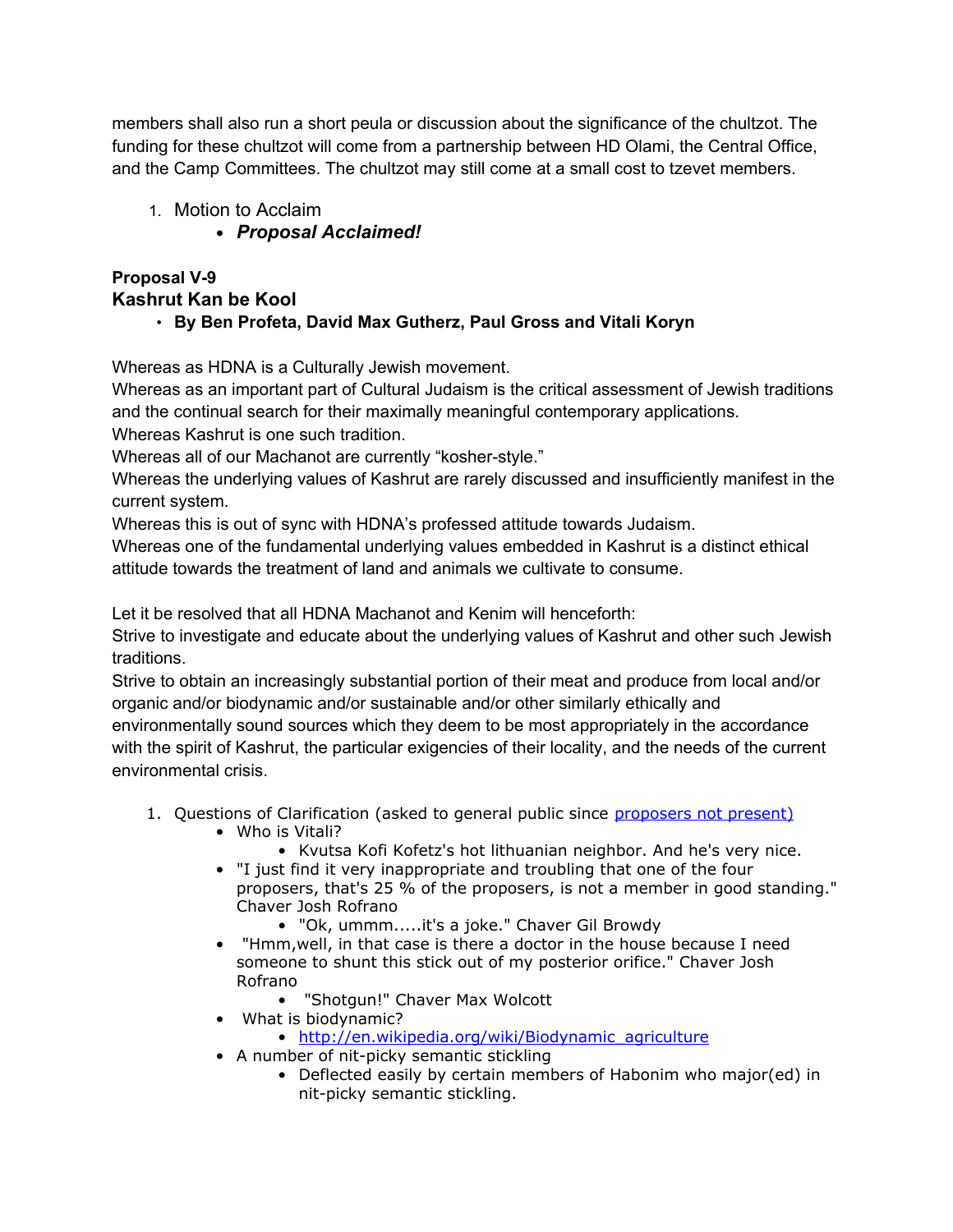members shall also run a short peula or discussion about the significance of the chultzot. The funding for these chultzot will come from a partnership between HD Olami, the Central Office, and the Camp Committees. The chultzot may still come at a small cost to tzevet members.

- 1. Motion to Acclaim
	- *Proposal Acclaimed!*

# **Proposal V-9 Kashrut Kan be Kool**

• **By Ben Profeta, David Max Gutherz, Paul Gross and Vitali Koryn**

Whereas as HDNA is a Culturally Jewish movement.

Whereas as an important part of Cultural Judaism is the critical assessment of Jewish traditions and the continual search for their maximally meaningful contemporary applications. Whereas Kashrut is one such tradition.

Whereas all of our Machanot are currently "kosher-style."

Whereas the underlying values of Kashrut are rarely discussed and insufficiently manifest in the current system.

Whereas this is out of sync with HDNA's professed attitude towards Judaism.

Whereas one of the fundamental underlying values embedded in Kashrut is a distinct ethical attitude towards the treatment of land and animals we cultivate to consume.

Let it be resolved that all HDNA Machanot and Kenim will henceforth:

Strive to investigate and educate about the underlying values of Kashrut and other such Jewish traditions.

Strive to obtain an increasingly substantial portion of their meat and produce from local and/or organic and/or biodynamic and/or sustainable and/or other similarly ethically and environmentally sound sources which they deem to be most appropriately in the accordance with the spirit of Kashrut, the particular exigencies of their locality, and the needs of the current environmental crisis.

- 1. Questions of Clarification (asked to general public since [proposers not present\)](http://www.youtube.com/watch?v=T8FikEflip4)
	- Who is Vitali?
		- Kvutsa Kofi Kofetz's hot lithuanian neighbor. And he's very nice.
	- "I just find it very inappropriate and troubling that one of the four proposers, that's 25 % of the proposers, is not a member in good standing." Chaver Josh Rofrano
		- "Ok, ummm.....it's a joke." Chaver Gil Browdy
	- "Hmm,well, in that case is there a doctor in the house because I need someone to shunt this stick out of my posterior orifice." Chaver Josh Rofrano
		- "Shotgun!" Chaver Max Wolcott
	- What is biodynamic?
		- [http://en.wikipedia.org/wiki/Biodynamic\\_agriculture](http://en.wikipedia.org/wiki/Biodynamic_agriculture)
	- A number of nit-picky semantic stickling
		- Deflected easily by certain members of Habonim who major(ed) in nit-picky semantic stickling.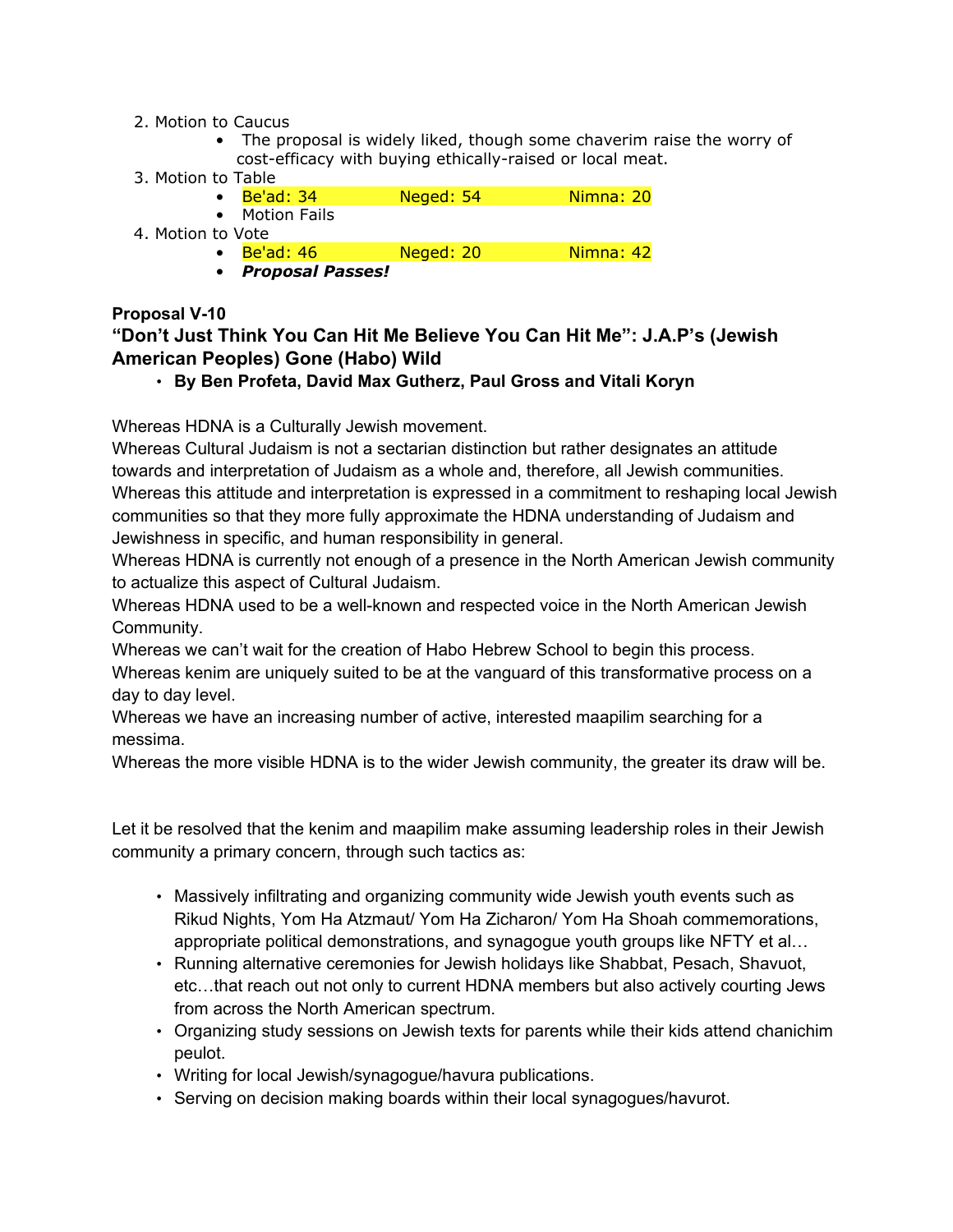#### 2. Motion to Caucus

- The proposal is widely liked, though some chaverim raise the worry of cost-efficacy with buying ethically-raised or local meat.
- 3. Motion to Table
	- Be'ad: 34 Neged: 54 Nimna: 20
		- Motion Fails
- 
- 4. Motion to Vote
	- Be'ad: 46 Neged: 20 Nimna: 42
	- *Proposal Passes!*

#### **Proposal V-10**

### **"Don't Just Think You Can Hit Me Believe You Can Hit Me": J.A.P's (Jewish American Peoples) Gone (Habo) Wild**

### • **By Ben Profeta, David Max Gutherz, Paul Gross and Vitali Koryn**

Whereas HDNA is a Culturally Jewish movement.

Whereas Cultural Judaism is not a sectarian distinction but rather designates an attitude towards and interpretation of Judaism as a whole and, therefore, all Jewish communities. Whereas this attitude and interpretation is expressed in a commitment to reshaping local Jewish communities so that they more fully approximate the HDNA understanding of Judaism and Jewishness in specific, and human responsibility in general.

Whereas HDNA is currently not enough of a presence in the North American Jewish community to actualize this aspect of Cultural Judaism.

Whereas HDNA used to be a well-known and respected voice in the North American Jewish Community.

Whereas we can't wait for the creation of Habo Hebrew School to begin this process.

Whereas kenim are uniquely suited to be at the vanguard of this transformative process on a day to day level.

Whereas we have an increasing number of active, interested maapilim searching for a messima.

Whereas the more visible HDNA is to the wider Jewish community, the greater its draw will be.

Let it be resolved that the kenim and maapilim make assuming leadership roles in their Jewish community a primary concern, through such tactics as:

- Massively infiltrating and organizing community wide Jewish youth events such as Rikud Nights, Yom Ha Atzmaut/ Yom Ha Zicharon/ Yom Ha Shoah commemorations, appropriate political demonstrations, and synagogue youth groups like NFTY et al…
- Running alternative ceremonies for Jewish holidays like Shabbat, Pesach, Shavuot, etc…that reach out not only to current HDNA members but also actively courting Jews from across the North American spectrum.
- Organizing study sessions on Jewish texts for parents while their kids attend chanichim peulot.
- Writing for local Jewish/synagogue/havura publications.
- Serving on decision making boards within their local synagogues/havurot.